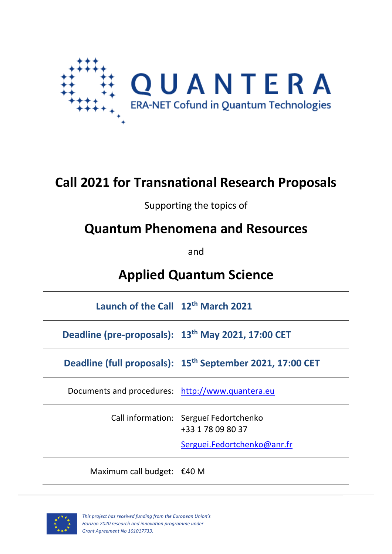

# **Call 2021 for Transnational Research Proposals**

Supporting the topics of

# **Quantum Phenomena and Resources**

and

# **Applied Quantum Science**

**Launch of the Call 12th March 2021**

**Deadline (pre-proposals): 13th May 2021, 17:00 CET**

**Deadline (full proposals): 15th September 2021, 17:00 CET**

Documents and procedures: http://www.quantera.eu

Call information: Sergueï Fedortchenko +33 1 78 09 80 37

Serguei.Fedortchenko@anr.fr

Maximum call budget: €40 M

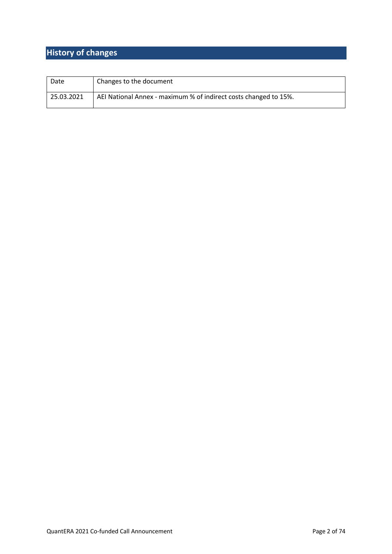# **History of changes**

| Date       | Changes to the document                                          |
|------------|------------------------------------------------------------------|
| 25.03.2021 | AEI National Annex - maximum % of indirect costs changed to 15%. |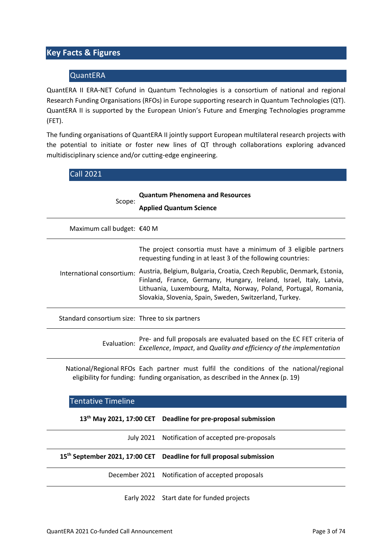# **Key Facts & Figures**

# QuantERA

QuantERA II ERA-NET Cofund in Quantum Technologies is a consortium of national and regional Research Funding Organisations (RFOs) in Europe supporting research in Quantum Technologies (QT). QuantERA II is supported by the European Union's Future and Emerging Technologies programme (FET).

The funding organisations of QuantERA II jointly support European multilateral research projects with the potential to initiate or foster new lines of QT through collaborations exploring advanced multidisciplinary science and/or cutting-edge engineering.

| <b>Call 2021</b>                                |                   |                                                                                                                                                                                                                                                                             |  |  |  |  |  |
|-------------------------------------------------|-------------------|-----------------------------------------------------------------------------------------------------------------------------------------------------------------------------------------------------------------------------------------------------------------------------|--|--|--|--|--|
| Scope:                                          |                   | <b>Quantum Phenomena and Resources</b><br><b>Applied Quantum Science</b>                                                                                                                                                                                                    |  |  |  |  |  |
| Maximum call budget: €40 M                      |                   |                                                                                                                                                                                                                                                                             |  |  |  |  |  |
|                                                 |                   | The project consortia must have a minimum of 3 eligible partners<br>requesting funding in at least 3 of the following countries:                                                                                                                                            |  |  |  |  |  |
| International consortium:                       |                   | Austria, Belgium, Bulgaria, Croatia, Czech Republic, Denmark, Estonia,<br>Finland, France, Germany, Hungary, Ireland, Israel, Italy, Latvia,<br>Lithuania, Luxembourg, Malta, Norway, Poland, Portugal, Romania,<br>Slovakia, Slovenia, Spain, Sweden, Switzerland, Turkey. |  |  |  |  |  |
| Standard consortium size: Three to six partners |                   |                                                                                                                                                                                                                                                                             |  |  |  |  |  |
| Evaluation:                                     |                   | Pre- and full proposals are evaluated based on the EC FET criteria of<br>Excellence, Impact, and Quality and efficiency of the implementation                                                                                                                               |  |  |  |  |  |
|                                                 |                   | National/Regional RFOs Each partner must fulfil the conditions of the national/regional<br>eligibility for funding: funding organisation, as described in the Annex (p. 19)                                                                                                 |  |  |  |  |  |
| <b>Tentative Timeline</b>                       |                   |                                                                                                                                                                                                                                                                             |  |  |  |  |  |
| 13 <sup>th</sup> May 2021, 17:00 CET            |                   | Deadline for pre-proposal submission                                                                                                                                                                                                                                        |  |  |  |  |  |
|                                                 | <b>July 2021</b>  | Notification of accepted pre-proposals                                                                                                                                                                                                                                      |  |  |  |  |  |
| 15 <sup>th</sup> September 2021, 17:00 CET      |                   | Deadline for full proposal submission                                                                                                                                                                                                                                       |  |  |  |  |  |
| December 2021                                   |                   | Notification of accepted proposals                                                                                                                                                                                                                                          |  |  |  |  |  |
|                                                 | <b>Early 2022</b> | Start date for funded projects                                                                                                                                                                                                                                              |  |  |  |  |  |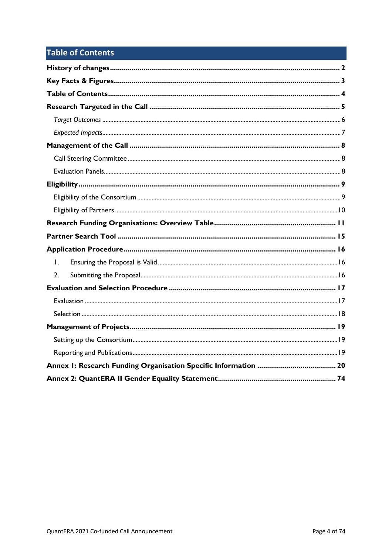# **Table of Contents**

| $\mathsf{L}$ |  |  |  |  |  |  |
|--------------|--|--|--|--|--|--|
| 2.           |  |  |  |  |  |  |
|              |  |  |  |  |  |  |
|              |  |  |  |  |  |  |
|              |  |  |  |  |  |  |
|              |  |  |  |  |  |  |
|              |  |  |  |  |  |  |
|              |  |  |  |  |  |  |
|              |  |  |  |  |  |  |
|              |  |  |  |  |  |  |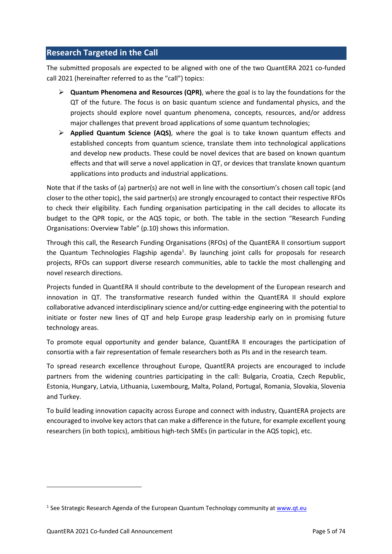# **Research Targeted in the Call**

The submitted proposals are expected to be aligned with one of the two QuantERA 2021 co-funded call 2021 (hereinafter referred to as the "call") topics:

- Ø **Quantum Phenomena and Resources (QPR)**, where the goal is to lay the foundations for the QT of the future. The focus is on basic quantum science and fundamental physics, and the projects should explore novel quantum phenomena, concepts, resources, and/or address major challenges that prevent broad applications of some quantum technologies;
- Ø **Applied Quantum Science (AQS)**, where the goal is to take known quantum effects and established concepts from quantum science, translate them into technological applications and develop new products. These could be novel devices that are based on known quantum effects and that will serve a novel application in QT, or devices that translate known quantum applications into products and industrial applications.

Note that if the tasks of (a) partner(s) are not well in line with the consortium's chosen call topic (and closer to the other topic), the said partner(s) are strongly encouraged to contact their respective RFOs to check their eligibility. Each funding organisation participating in the call decides to allocate its budget to the QPR topic, or the AQS topic, or both. The table in the section "Research Funding Organisations: Overview Table" (p.10) shows this information.

Through this call, the Research Funding Organisations (RFOs) of the QuantERA II consortium support the Quantum Technologies Flagship agenda<sup>1</sup>. By launching joint calls for proposals for research projects, RFOs can support diverse research communities, able to tackle the most challenging and novel research directions.

Projects funded in QuantERA II should contribute to the development of the European research and innovation in QT. The transformative research funded within the QuantERA II should explore collaborative advanced interdisciplinary science and/or cutting-edge engineering with the potential to initiate or foster new lines of QT and help Europe grasp leadership early on in promising future technology areas.

To promote equal opportunity and gender balance, QuantERA II encourages the participation of consortia with a fair representation of female researchers both as PIs and in the research team.

To spread research excellence throughout Europe, QuantERA projects are encouraged to include partners from the widening countries participating in the call: Bulgaria, Croatia, Czech Republic, Estonia, Hungary, Latvia, Lithuania, Luxembourg, Malta, Poland, Portugal, Romania, Slovakia, Slovenia and Turkey.

To build leading innovation capacity across Europe and connect with industry, QuantERA projects are encouraged to involve key actors that can make a difference in the future, for example excellent young researchers (in both topics), ambitious high-tech SMEs (in particular in the AQS topic), etc.

 $1$  See Strategic Research Agenda of the European Quantum Technology community at www.qt.eu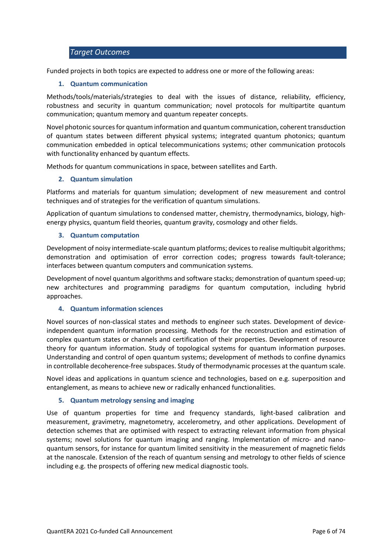# *Target Outcomes*

Funded projects in both topics are expected to address one or more of the following areas:

#### **1. Quantum communication**

Methods/tools/materials/strategies to deal with the issues of distance, reliability, efficiency, robustness and security in quantum communication; novel protocols for multipartite quantum communication; quantum memory and quantum repeater concepts.

Novel photonic sources for quantum information and quantum communication, coherent transduction of quantum states between different physical systems; integrated quantum photonics; quantum communication embedded in optical telecommunications systems; other communication protocols with functionality enhanced by quantum effects.

Methods for quantum communications in space, between satellites and Earth.

#### **2. Quantum simulation**

Platforms and materials for quantum simulation; development of new measurement and control techniques and of strategies for the verification of quantum simulations.

Application of quantum simulations to condensed matter, chemistry, thermodynamics, biology, highenergy physics, quantum field theories, quantum gravity, cosmology and other fields.

#### **3. Quantum computation**

Development of noisy intermediate-scale quantum platforms; devices to realise multiqubit algorithms; demonstration and optimisation of error correction codes; progress towards fault-tolerance; interfaces between quantum computers and communication systems.

Development of novel quantum algorithms and software stacks; demonstration of quantum speed-up; new architectures and programming paradigms for quantum computation, including hybrid approaches.

#### **4. Quantum information sciences**

Novel sources of non-classical states and methods to engineer such states. Development of deviceindependent quantum information processing. Methods for the reconstruction and estimation of complex quantum states or channels and certification of their properties. Development of resource theory for quantum information. Study of topological systems for quantum information purposes. Understanding and control of open quantum systems; development of methods to confine dynamics in controllable decoherence-free subspaces. Study of thermodynamic processes at the quantum scale.

Novel ideas and applications in quantum science and technologies, based on e.g. superposition and entanglement, as means to achieve new or radically enhanced functionalities.

#### **5. Quantum metrology sensing and imaging**

Use of quantum properties for time and frequency standards, light-based calibration and measurement, gravimetry, magnetometry, accelerometry, and other applications. Development of detection schemes that are optimised with respect to extracting relevant information from physical systems; novel solutions for quantum imaging and ranging. Implementation of micro- and nanoquantum sensors, for instance for quantum limited sensitivity in the measurement of magnetic fields at the nanoscale. Extension of the reach of quantum sensing and metrology to other fields of science including e.g. the prospects of offering new medical diagnostic tools.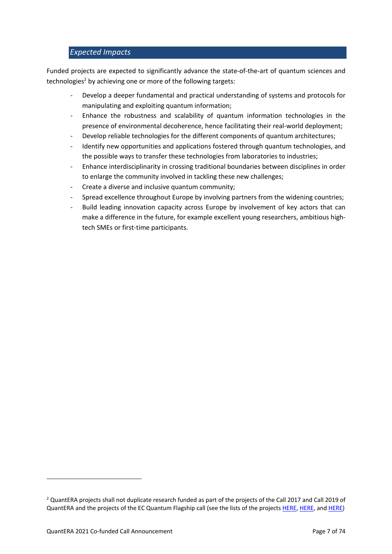# *Expected Impacts*

Funded projects are expected to significantly advance the state-of-the-art of quantum sciences and technologies<sup>2</sup> by achieving one or more of the following targets:

- Develop a deeper fundamental and practical understanding of systems and protocols for manipulating and exploiting quantum information;
- Enhance the robustness and scalability of quantum information technologies in the presence of environmental decoherence, hence facilitating their real-world deployment;
- Develop reliable technologies for the different components of quantum architectures;
- Identify new opportunities and applications fostered through quantum technologies, and the possible ways to transfer these technologies from laboratories to industries;
- Enhance interdisciplinarity in crossing traditional boundaries between disciplines in order to enlarge the community involved in tackling these new challenges;
- Create a diverse and inclusive quantum community;
- Spread excellence throughout Europe by involving partners from the widening countries;
- Build leading innovation capacity across Europe by involvement of key actors that can make a difference in the future, for example excellent young researchers, ambitious hightech SMEs or first-time participants.

<sup>&</sup>lt;sup>2</sup> QuantERA projects shall not duplicate research funded as part of the projects of the Call 2017 and Call 2019 of QuantERA and the projects of the EC Quantum Flagship call (see the lists of the projects HERE, HERE, and HERE)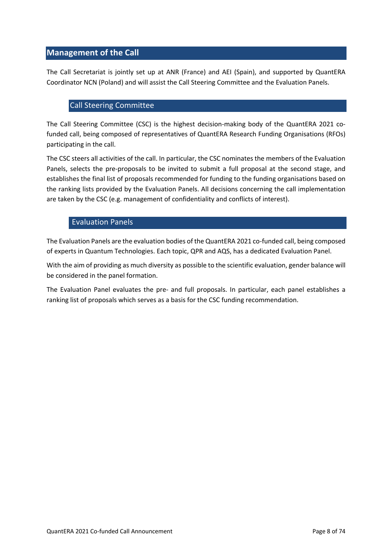# **Management of the Call**

The Call Secretariat is jointly set up at ANR (France) and AEI (Spain), and supported by QuantERA Coordinator NCN (Poland) and will assist the Call Steering Committee and the Evaluation Panels.

# Call Steering Committee

The Call Steering Committee (CSC) is the highest decision-making body of the QuantERA 2021 cofunded call, being composed of representatives of QuantERA Research Funding Organisations (RFOs) participating in the call.

The CSC steers all activities of the call. In particular, the CSC nominates the members of the Evaluation Panels, selects the pre-proposals to be invited to submit a full proposal at the second stage, and establishes the final list of proposals recommended for funding to the funding organisations based on the ranking lists provided by the Evaluation Panels. All decisions concerning the call implementation are taken by the CSC (e.g. management of confidentiality and conflicts of interest).

# Evaluation Panels

The Evaluation Panels are the evaluation bodies of the QuantERA 2021 co-funded call, being composed of experts in Quantum Technologies. Each topic, QPR and AQS, has a dedicated Evaluation Panel.

With the aim of providing as much diversity as possible to the scientific evaluation, gender balance will be considered in the panel formation.

The Evaluation Panel evaluates the pre- and full proposals. In particular, each panel establishes a ranking list of proposals which serves as a basis for the CSC funding recommendation.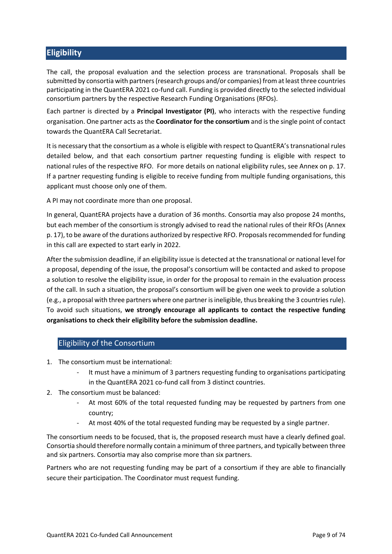# **Eligibility**

The call, the proposal evaluation and the selection process are transnational. Proposals shall be submitted by consortia with partners (research groups and/or companies) from at least three countries participating in the QuantERA 2021 co-fund call. Funding is provided directly to the selected individual consortium partners by the respective Research Funding Organisations (RFOs).

Each partner is directed by a **Principal Investigator (PI)**, who interacts with the respective funding organisation. One partner acts as the **Coordinator for the consortium** and is the single point of contact towards the QuantERA Call Secretariat.

It is necessary that the consortium as a whole is eligible with respect to QuantERA's transnational rules detailed below, and that each consortium partner requesting funding is eligible with respect to national rules of the respective RFO. For more details on national eligibility rules, see Annex on p. 17. If a partner requesting funding is eligible to receive funding from multiple funding organisations, this applicant must choose only one of them.

A PI may not coordinate more than one proposal.

In general, QuantERA projects have a duration of 36 months. Consortia may also propose 24 months, but each member of the consortium is strongly advised to read the national rules of their RFOs (Annex p. 17), to be aware of the durations authorized by respective RFO. Proposals recommended for funding in this call are expected to start early in 2022.

After the submission deadline, if an eligibility issue is detected at the transnational or national level for a proposal, depending of the issue, the proposal's consortium will be contacted and asked to propose a solution to resolve the eligibility issue, in order for the proposal to remain in the evaluation process of the call. In such a situation, the proposal's consortium will be given one week to provide a solution (e.g., a proposal with three partners where one partner is ineligible, thus breaking the 3 countries rule). To avoid such situations, **we strongly encourage all applicants to contact the respective funding organisations to check their eligibility before the submission deadline.**

# Eligibility of the Consortium

- 1. The consortium must be international:
	- It must have a minimum of 3 partners requesting funding to organisations participating in the QuantERA 2021 co-fund call from 3 distinct countries.
- 2. The consortium must be balanced:
	- At most 60% of the total requested funding may be requested by partners from one country;
	- At most 40% of the total requested funding may be requested by a single partner.

The consortium needs to be focused, that is, the proposed research must have a clearly defined goal. Consortia should therefore normally contain a minimum of three partners, and typically between three and six partners. Consortia may also comprise more than six partners.

Partners who are not requesting funding may be part of a consortium if they are able to financially secure their participation. The Coordinator must request funding.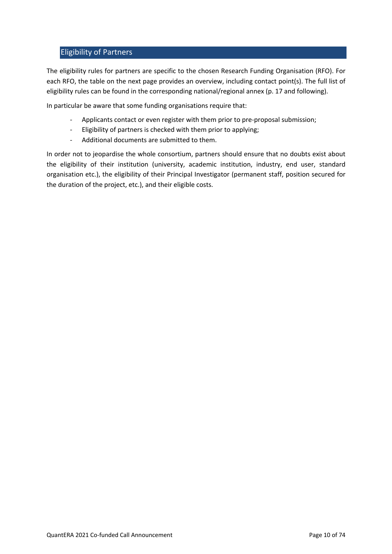# Eligibility of Partners

The eligibility rules for partners are specific to the chosen Research Funding Organisation (RFO). For each RFO, the table on the next page provides an overview, including contact point(s). The full list of eligibility rules can be found in the corresponding national/regional annex (p. 17 and following).

In particular be aware that some funding organisations require that:

- Applicants contact or even register with them prior to pre-proposal submission;
- Eligibility of partners is checked with them prior to applying;
- Additional documents are submitted to them.

In order not to jeopardise the whole consortium, partners should ensure that no doubts exist about the eligibility of their institution (university, academic institution, industry, end user, standard organisation etc.), the eligibility of their Principal Investigator (permanent staff, position secured for the duration of the project, etc.), and their eligible costs.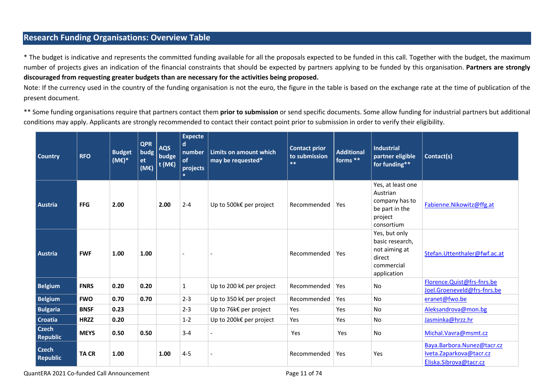# **Research Funding Organisations: Overview Table**

\* The budget is indicative and represents the committed funding available for all the proposals expected to be funded in this call. Together with the budget, the maximum number of projects gives an indication of the financial constraints that should be expected by partners applying to be funded by this organisation. **Partners are strongly discouraged from requesting greater budgets than are necessary for the activities being proposed.**

Note: If the currency used in the country of the funding organisation is not the euro, the figure in the table is based on the exchange rate at the time of publication of the present document.

\*\* Some funding organisations require that partners contact them **prior to submission** or send specific documents. Some allow funding for industrial partners but additional conditions may apply. Applicants are strongly recommended to contact their contact point prior to submission in order to verify their eligibility.

| <b>Country</b>                  | <b>RFO</b>   | <b>Budget</b><br>(M€)* | <b>QPR</b><br>$b$ udg<br>et<br>(ME) | <b>AQS</b><br>budge<br>t(ME) | <b>Expecte</b><br>$\mathbf d$<br>number<br>of<br>projects | Limits on amount which<br>may be requested* | <b>Contact prior</b><br>to submission<br>$***$ | <b>Additional</b><br>forms ** | <b>Industrial</b><br>partner eligible<br>for funding**                                     | Contact(s)                                                                      |
|---------------------------------|--------------|------------------------|-------------------------------------|------------------------------|-----------------------------------------------------------|---------------------------------------------|------------------------------------------------|-------------------------------|--------------------------------------------------------------------------------------------|---------------------------------------------------------------------------------|
| <b>Austria</b>                  | <b>FFG</b>   | 2.00                   |                                     | 2.00                         | $2 - 4$                                                   | Up to 500k€ per project                     | Recommended                                    | Yes                           | Yes, at least one<br>Austrian<br>company has to<br>be part in the<br>project<br>consortium | Fabienne.Nikowitz@ffg.at                                                        |
| <b>Austria</b>                  | <b>FWF</b>   | 1.00                   | 1.00                                |                              |                                                           |                                             | Recommended                                    | Yes                           | Yes, but only<br>basic research,<br>not aiming at<br>direct<br>commercial<br>application   | Stefan.Uttenthaler@fwf.ac.at                                                    |
| <b>Belgium</b>                  | <b>FNRS</b>  | 0.20                   | 0.20                                |                              | 1                                                         | Up to 200 k€ per project                    | Recommended                                    | Yes                           | No                                                                                         | Florence.Quist@frs-fnrs.be<br>Joel.Groeneveld@frs-fnrs.be                       |
| <b>Belgium</b>                  | <b>FWO</b>   | 0.70                   | 0.70                                |                              | $2 - 3$                                                   | Up to 350 k€ per project                    | Recommended                                    | Yes                           | No                                                                                         | eranet@fwo.be                                                                   |
| <b>Bulgaria</b>                 | <b>BNSF</b>  | 0.23                   |                                     |                              | $2 - 3$                                                   | Up to 76k€ per project                      | Yes                                            | Yes                           | No                                                                                         | Aleksandrova@mon.bg                                                             |
| <b>Croatia</b>                  | <b>HRZZ</b>  | 0.20                   |                                     |                              | $1 - 2$                                                   | Up to 200k€ per project                     | Yes                                            | Yes                           | No                                                                                         | Jasminka@hrzz.hr                                                                |
| <b>Czech</b><br><b>Republic</b> | <b>MEYS</b>  | 0.50                   | 0.50                                |                              | $3 - 4$                                                   |                                             | Yes                                            | Yes                           | No                                                                                         | Michal.Vavra@msmt.cz                                                            |
| <b>Czech</b><br>Republic        | <b>TA CR</b> | 1.00                   |                                     | 1.00                         | $4 - 5$                                                   |                                             | Recommended                                    | Yes                           | Yes                                                                                        | Baya.Barbora.Nunez@tacr.cz<br>Iveta.Zaparkova@tacr.cz<br>Eliska.Sibrova@tacr.cz |

QuantERA 2021 Co-funded Call Announcement Page 11 of 74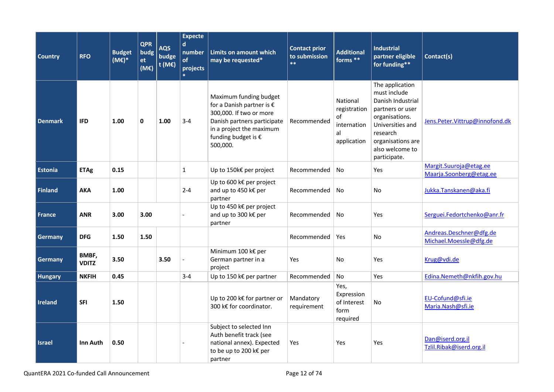| <b>Country</b> | <b>RFO</b>            | <b>Budget</b><br>$(ME)^*$ | <b>QPR</b><br>budg<br>et<br>(ME) | <b>AQS</b><br>budge<br>t(ME) | <b>Expecte</b><br>$\mathbf d$<br>number<br>of<br>projects | Limits on amount which<br>may be requested*                                                                                                                                                    | <b>Contact prior</b><br>to submission<br>$**$ | <b>Additional</b><br>forms $**$                                    | <b>Industrial</b><br>partner eligible<br>for funding**                                                                                                                             | Contact(s)                                        |
|----------------|-----------------------|---------------------------|----------------------------------|------------------------------|-----------------------------------------------------------|------------------------------------------------------------------------------------------------------------------------------------------------------------------------------------------------|-----------------------------------------------|--------------------------------------------------------------------|------------------------------------------------------------------------------------------------------------------------------------------------------------------------------------|---------------------------------------------------|
| <b>Denmark</b> | <b>IFD</b>            | 1.00                      | $\mathbf{0}$                     | 1.00                         | $3 - 4$                                                   | Maximum funding budget<br>for a Danish partner is $\epsilon$<br>300,000. If two or more<br>Danish partners participate<br>in a project the maximum<br>funding budget is $\epsilon$<br>500,000. | Recommended                                   | National<br>registration<br>of<br>internation<br>al<br>application | The application<br>must include<br>Danish Industrial<br>partners or user<br>organisations.<br>Universities and<br>research<br>organisations are<br>also welcome to<br>participate. | Jens.Peter.Vittrup@innofond.dk                    |
| <b>Estonia</b> | <b>ETAg</b>           | 0.15                      |                                  |                              | $\mathbf{1}$                                              | Up to 150k€ per project                                                                                                                                                                        | Recommended                                   | No.                                                                | Yes                                                                                                                                                                                | Margit.Suuroja@etag.ee<br>Maarja.Soonberg@etag.ee |
| <b>Finland</b> | <b>AKA</b>            | 1.00                      |                                  |                              | $2 - 4$                                                   | Up to 600 k€ per project<br>and up to 450 k€ per<br>partner                                                                                                                                    | Recommended                                   | No                                                                 | <b>No</b>                                                                                                                                                                          | Jukka.Tanskanen@aka.fi                            |
| <b>France</b>  | <b>ANR</b>            | 3.00                      | 3.00                             |                              |                                                           | Up to 450 k€ per project<br>and up to 300 k€ per<br>partner                                                                                                                                    | Recommended                                   | No.                                                                | Yes                                                                                                                                                                                | Serguei.Fedortchenko@anr.fr                       |
| Germany        | <b>DFG</b>            | 1.50                      | 1.50                             |                              |                                                           |                                                                                                                                                                                                | Recommended                                   | Yes                                                                | No                                                                                                                                                                                 | Andreas.Deschner@dfg.de<br>Michael.Moessle@dfg.de |
| Germany        | BMBF,<br><b>VDITZ</b> | 3.50                      |                                  | 3.50                         |                                                           | Minimum 100 k€ per<br>German partner in a<br>project                                                                                                                                           | Yes                                           | No                                                                 | Yes                                                                                                                                                                                | Krug@vdi.de                                       |
| <b>Hungary</b> | <b>NKFIH</b>          | 0.45                      |                                  |                              | $3 - 4$                                                   | Up to 150 k€ per partner                                                                                                                                                                       | Recommended                                   | No                                                                 | Yes                                                                                                                                                                                | Edina.Nemeth@nkfih.gov.hu                         |
| <b>Ireland</b> | <b>SFI</b>            | 1.50                      |                                  |                              |                                                           | Up to 200 k€ for partner or<br>300 k€ for coordinator.                                                                                                                                         | Mandatory<br>requirement                      | Yes,<br>Expression<br>of Interest<br>form<br>required              | <b>No</b>                                                                                                                                                                          | EU-Cofund@sfi.ie<br>Maria.Nash@sfi.ie             |
| <b>Israel</b>  | Inn Auth              | 0.50                      |                                  |                              |                                                           | Subject to selected Inn<br>Auth benefit track (see<br>national annex). Expected<br>to be up to 200 k€ per<br>partner                                                                           | Yes                                           | Yes                                                                | <b>Yes</b>                                                                                                                                                                         | Dan@iserd.org.il<br>Tzlil.Ribak@iserd.org.il      |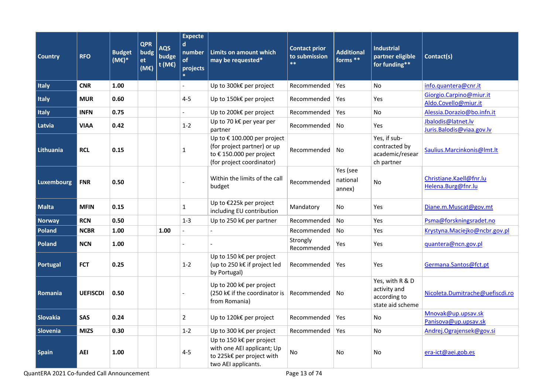| <b>Country</b>    | <b>RFO</b>      | <b>Budget</b><br>(M€)* | <b>QPR</b><br>$b$ udg<br>et<br>(ME) | <b>AQS</b><br>budge<br>t (M€) | <b>Expecte</b><br>$\mathsf{d}$<br>number<br>of<br>projects | Limits on amount which<br>may be requested*                                                                        | <b>Contact prior</b><br>to submission<br>$***$ | <b>Additional</b><br>forms **  | <b>Industrial</b><br>partner eligible<br>for funding**              | Contact(s)                                      |
|-------------------|-----------------|------------------------|-------------------------------------|-------------------------------|------------------------------------------------------------|--------------------------------------------------------------------------------------------------------------------|------------------------------------------------|--------------------------------|---------------------------------------------------------------------|-------------------------------------------------|
| <b>Italy</b>      | <b>CNR</b>      | 1.00                   |                                     |                               | $\overline{a}$                                             | Up to 300k€ per project                                                                                            | Recommended                                    | Yes                            | No                                                                  | info.quantera@cnr.it                            |
| <b>Italy</b>      | <b>MUR</b>      | 0.60                   |                                     |                               | $4 - 5$                                                    | Up to 150k€ per project                                                                                            | Recommended                                    | Yes                            | Yes                                                                 | Giorgio.Carpino@miur.it<br>Aldo.Covello@miur.it |
| <b>Italy</b>      | <b>INFN</b>     | 0.75                   |                                     |                               |                                                            | Up to 200k€ per project                                                                                            | Recommended                                    | <b>Yes</b>                     | <b>No</b>                                                           | Alessia.Dorazio@bo.infn.it                      |
| Latvia            | <b>VIAA</b>     | 0.42                   |                                     |                               | $1 - 2$                                                    | Up to 70 k€ per year per<br>partner                                                                                | Recommended                                    | No                             | Yes                                                                 | Jbalodis@latnet.lv<br>Juris.Balodis@viaa.gov.lv |
| <b>Lithuania</b>  | <b>RCL</b>      | 0.15                   |                                     |                               | 1                                                          | Up to € 100.000 per project<br>(for project partner) or up<br>to €150.000 per project<br>(for project coordinator) | Recommended                                    | No                             | Yes, if sub-<br>contracted by<br>academic/resear<br>ch partner      | Saulius.Marcinkonis@lmt.lt                      |
| <b>Luxembourg</b> | <b>FNR</b>      | 0.50                   |                                     |                               |                                                            | Within the limits of the call<br>budget                                                                            | Recommended                                    | Yes (see<br>national<br>annex) | <b>No</b>                                                           | Christiane.Kaell@fnr.lu<br>Helena.Burg@fnr.lu   |
| <b>Malta</b>      | <b>MFIN</b>     | 0.15                   |                                     |                               | 1                                                          | Up to €225k per project<br>including EU contribution                                                               | Mandatory                                      | No                             | Yes                                                                 | Diane.m.Muscat@gov.mt                           |
| <b>Norway</b>     | <b>RCN</b>      | 0.50                   |                                     |                               | $1 - 3$                                                    | Up to 250 k€ per partner                                                                                           | Recommended                                    | <b>No</b>                      | Yes                                                                 | Psma@forskningsradet.no                         |
| <b>Poland</b>     | <b>NCBR</b>     | 1.00                   |                                     | 1.00                          |                                                            | $\overline{a}$                                                                                                     | Recommended                                    | No                             | Yes                                                                 | Krystyna.Maciejko@ncbr.gov.pl                   |
| <b>Poland</b>     | <b>NCN</b>      | 1.00                   |                                     |                               |                                                            |                                                                                                                    | Strongly<br>Recommended                        | Yes                            | Yes                                                                 | quantera@ncn.gov.pl                             |
| <b>Portugal</b>   | <b>FCT</b>      | 0.25                   |                                     |                               | $1 - 2$                                                    | Up to 150 k€ per project<br>(up to 250 k€ if project led<br>by Portugal)                                           | Recommended                                    | <b>Yes</b>                     | Yes                                                                 | Germana.Santos@fct.pt                           |
| <b>Romania</b>    | <b>UEFISCDI</b> | 0.50                   |                                     |                               |                                                            | Up to 200 k€ per project<br>(250 k€ if the coordinator is<br>from Romania)                                         | Recommended                                    | No                             | Yes, with R & D<br>activity and<br>according to<br>state aid scheme | Nicoleta.Dumitrache@uefiscdi.ro                 |
| <b>Slovakia</b>   | <b>SAS</b>      | 0.24                   |                                     |                               | $\overline{2}$                                             | Up to 120k€ per project                                                                                            | Recommended                                    | Yes                            | No                                                                  | Mnovak@up.upsav.sk<br>Panisova@up.upsav.sk      |
| <b>Slovenia</b>   | <b>MIZS</b>     | 0.30                   |                                     |                               | $1 - 2$                                                    | Up to 300 k€ per project                                                                                           | Recommended                                    | Yes                            | No                                                                  | Andrej.Ograjensek@gov.si                        |
| <b>Spain</b>      | <b>AEI</b>      | 1.00                   |                                     |                               | $4 - 5$                                                    | Up to 150 k€ per project<br>with one AEI applicant; Up<br>to 225k€ per project with<br>two AEI applicants.         | No                                             | No                             | No                                                                  | era-ict@aei.gob.es                              |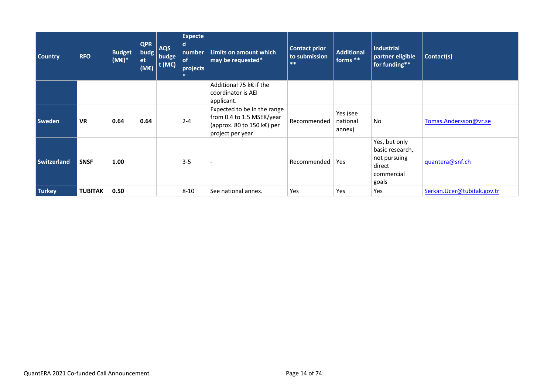| <b>Country</b>     | <b>RFO</b>     | <b>Budget</b><br>(M€)* | <b>QPR</b><br>$b$ udg $ $<br>et<br>(ME) | <b>AQS</b><br>budge<br>t (ME) | <b>Expecte</b><br>d.<br>number<br>of<br>projects | Limits on amount which<br>may be requested*                                                                | <b>Contact prior</b><br>to submission<br>$***$ | <b>Additional</b><br>forms **  | <b>Industrial</b><br>partner eligible<br>for funding**                            | Contact(s)                  |
|--------------------|----------------|------------------------|-----------------------------------------|-------------------------------|--------------------------------------------------|------------------------------------------------------------------------------------------------------------|------------------------------------------------|--------------------------------|-----------------------------------------------------------------------------------|-----------------------------|
|                    |                |                        |                                         |                               |                                                  | Additional 75 k€ if the<br>coordinator is AEI<br>applicant.                                                |                                                |                                |                                                                                   |                             |
| <b>Sweden</b>      | <b>VR</b>      | 0.64                   | 0.64                                    |                               | $2 - 4$                                          | Expected to be in the range<br>from 0.4 to 1.5 MSEK/year<br>(approx. 80 to 150 k€) per<br>project per year | Recommended                                    | Yes (see<br>national<br>annex) | No                                                                                | Tomas.Andersson@vr.se       |
| <b>Switzerland</b> | <b>SNSF</b>    | 1.00                   |                                         |                               | $3 - 5$                                          | $\overline{\phantom{a}}$                                                                                   | Recommended                                    | Yes                            | Yes, but only<br>basic research,<br>not pursuing<br>direct<br>commercial<br>goals | guantera@snf.ch             |
| <b>Turkey</b>      | <b>TUBITAK</b> | 0.50                   |                                         |                               | $8 - 10$                                         | See national annex.                                                                                        | Yes                                            | Yes                            | Yes                                                                               | Serkan. Ucer@tubitak.gov.tr |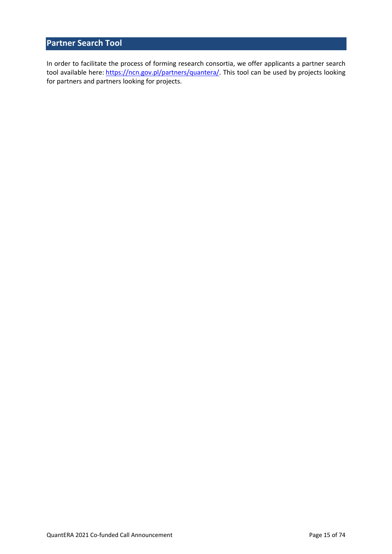# **Partner Search Tool**

In order to facilitate the process of forming research consortia, we offer applicants a partner search tool available here: https://ncn.gov.pl/partners/quantera/. This tool can be used by projects looking for partners and partners looking for projects.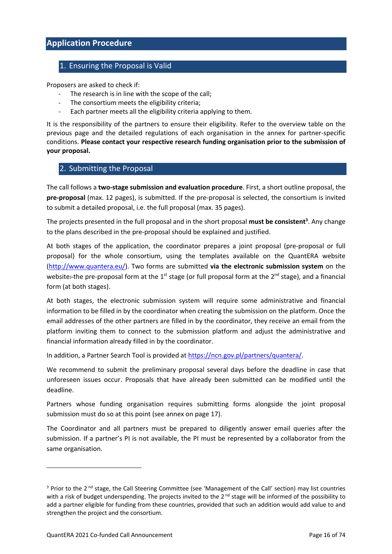# **Application Procedure**

# 1. Ensuring the Proposal is Valid

Proposers are asked to check if:

- The research is in line with the scope of the call;
- The consortium meets the eligibility criteria;
- Each partner meets all the eligibility criteria applying to them.

It is the responsibility of the partners to ensure their eligibility. Refer to the overview table on the previous page and the detailed regulations of each organisation in the annex for partner-specific conditions. **Please contact your respective research funding organisation prior to the submission of your proposal.**

### 2. Submitting the Proposal

The call follows a **two-stage submission and evaluation procedure**. First, a short outline proposal, the **pre-proposal** (max. 12 pages), is submitted. If the pre-proposal is selected, the consortium is invited to submit a detailed proposal, i.e. the full proposal (max. 35 pages).

The projects presented in the full proposal and in the short proposal **must be consistent**<sup>3</sup>. Any change to the plans described in the pre-proposal should be explained and justified.

At both stages of the application, the coordinator prepares a joint proposal (pre-proposal or full proposal) for the whole consortium, using the templates available on the QuantERA website (http://www.quantera.eu/). Two forms are submitted **via the electronic submission system** on the website: the pre-proposal form at the 1<sup>st</sup> stage (or full proposal form at the 2<sup>nd</sup> stage), and a financial form (at both stages).

At both stages, the electronic submission system will require some administrative and financial information to be filled in by the coordinator when creating the submission on the platform. Once the email addresses of the other partners are filled in by the coordinator, they receive an email from the platform inviting them to connect to the submission platform and adjust the administrative and financial information already filled in by the coordinator.

In addition, a Partner Search Tool is provided at https://ncn.gov.pl/partners/quantera/.

We recommend to submit the preliminary proposal several days before the deadline in case that unforeseen issues occur. Proposals that have already been submitted can be modified until the deadline.

Partners whose funding organisation requires submitting forms alongside the joint proposal submission must do so at this point (see annex on page 17).

The Coordinator and all partners must be prepared to diligently answer email queries after the submission. If a partner's PI is not available, the PI must be represented by a collaborator from the same organisation.

<sup>&</sup>lt;sup>3</sup> Prior to the 2<sup>nd</sup> stage, the Call Steering Committee (see 'Management of the Call' section) may list countries with a risk of budget underspending. The projects invited to the  $2<sup>nd</sup>$  stage will be informed of the possibility to add a partner eligible for funding from these countries, provided that such an addition would add value to and strengthen the project and the consortium.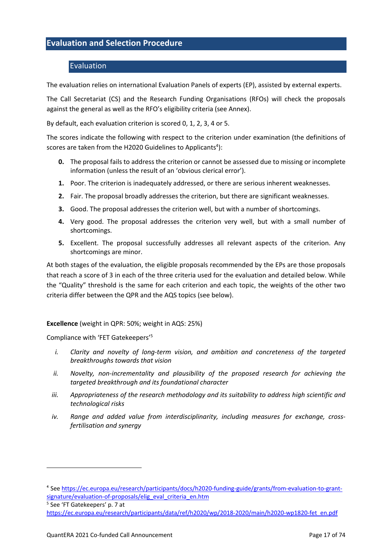# **Evaluation and Selection Procedure**

# Evaluation

The evaluation relies on international Evaluation Panels of experts (EP), assisted by external experts.

The Call Secretariat (CS) and the Research Funding Organisations (RFOs) will check the proposals against the general as well as the RFO's eligibility criteria (see Annex).

By default, each evaluation criterion is scored 0, 1, 2, 3, 4 or 5.

The scores indicate the following with respect to the criterion under examination (the definitions of scores are taken from the H2020 Guidelines to Applicants<sup>4</sup>):

- **0.** The proposal fails to address the criterion or cannot be assessed due to missing or incomplete information (unless the result of an 'obvious clerical error').
- **1.** Poor. The criterion is inadequately addressed, or there are serious inherent weaknesses.
- **2.** Fair. The proposal broadly addresses the criterion, but there are significant weaknesses.
- **3.** Good. The proposal addresses the criterion well, but with a number of shortcomings.
- **4.** Very good. The proposal addresses the criterion very well, but with a small number of shortcomings.
- **5.** Excellent. The proposal successfully addresses all relevant aspects of the criterion. Any shortcomings are minor.

At both stages of the evaluation, the eligible proposals recommended by the EPs are those proposals that reach a score of 3 in each of the three criteria used for the evaluation and detailed below. While the "Quality" threshold is the same for each criterion and each topic, the weights of the other two criteria differ between the QPR and the AQS topics (see below).

#### **Excellence** (weight in QPR: 50%; weight in AQS: 25%)

Compliance with 'FET Gatekeepers'5

- *i. Clarity and novelty of long-term vision, and ambition and concreteness of the targeted breakthroughs towards that vision*
- *ii. Novelty, non-incrementality and plausibility of the proposed research for achieving the targeted breakthrough and its foundational character*
- *iii. Appropriateness of the research methodology and its suitability to address high scientific and technological risks*
- *iv. Range and added value from interdisciplinarity, including measures for exchange, crossfertilisation and synergy*

<sup>5</sup> See 'FT Gatekeepers' p. 7 at

<sup>4</sup> See https://ec.europa.eu/research/participants/docs/h2020-funding-guide/grants/from-evaluation-to-grantsignature/evaluation-of-proposals/elig\_eval\_criteria\_en.htm

https://ec.europa.eu/research/participants/data/ref/h2020/wp/2018-2020/main/h2020-wp1820-fet\_en.pdf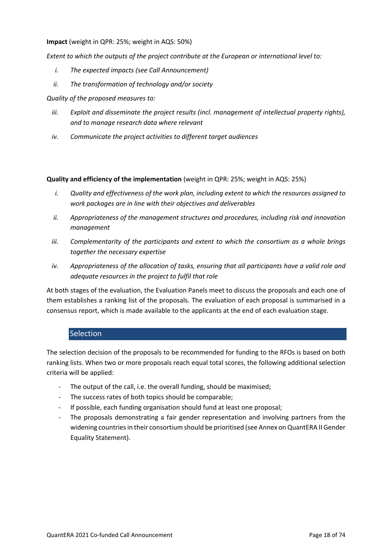**Impact** (weight in QPR: 25%; weight in AQS: 50%)

*Extent to which the outputs of the project contribute at the European or international level to:*

- *i. The expected impacts (see Call Announcement)*
- *ii. The transformation of technology and/or society*

*Quality of the proposed measures to:*

- *iii. Exploit and disseminate the project results (incl. management of intellectual property rights), and to manage research data where relevant*
- *iv. Communicate the project activities to different target audiences*

**Quality and efficiency of the implementation** (weight in QPR: 25%; weight in AQS: 25%)

- *i. Quality and effectiveness of the work plan, including extent to which the resources assigned to work packages are in line with their objectives and deliverables*
- *ii. Appropriateness of the management structures and procedures, including risk and innovation management*
- *iii. Complementarity of the participants and extent to which the consortium as a whole brings together the necessary expertise*
- *iv. Appropriateness of the allocation of tasks, ensuring that all participants have a valid role and adequate resources in the project to fulfil that role*

At both stages of the evaluation, the Evaluation Panels meet to discuss the proposals and each one of them establishes a ranking list of the proposals. The evaluation of each proposal is summarised in a consensus report, which is made available to the applicants at the end of each evaluation stage.

# **Selection**

The selection decision of the proposals to be recommended for funding to the RFOs is based on both ranking lists. When two or more proposals reach equal total scores, the following additional selection criteria will be applied:

- The output of the call, i.e. the overall funding, should be maximised;
- The success rates of both topics should be comparable;
- If possible, each funding organisation should fund at least one proposal;
- The proposals demonstrating a fair gender representation and involving partners from the widening countries in their consortium should be prioritised (see Annex on QuantERA II Gender Equality Statement).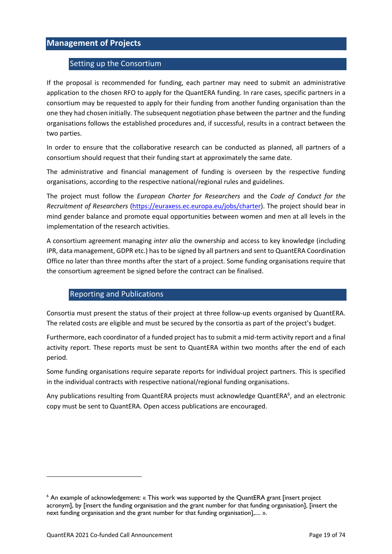# **Management of Projects**

# Setting up the Consortium

If the proposal is recommended for funding, each partner may need to submit an administrative application to the chosen RFO to apply for the QuantERA funding. In rare cases, specific partners in a consortium may be requested to apply for their funding from another funding organisation than the one they had chosen initially. The subsequent negotiation phase between the partner and the funding organisations follows the established procedures and, if successful, results in a contract between the two parties.

In order to ensure that the collaborative research can be conducted as planned, all partners of a consortium should request that their funding start at approximately the same date.

The administrative and financial management of funding is overseen by the respective funding organisations, according to the respective national/regional rules and guidelines.

The project must follow the *European Charter for Researchers* and the *Code of Conduct for the Recruitment of Researchers* (https://euraxess.ec.europa.eu/jobs/charter). The project should bear in mind gender balance and promote equal opportunities between women and men at all levels in the implementation of the research activities.

A consortium agreement managing *inter alia* the ownership and access to key knowledge (including IPR, data management, GDPR etc.) has to be signed by all partners and sent to QuantERA Coordination Office no later than three months after the start of a project. Some funding organisations require that the consortium agreement be signed before the contract can be finalised.

# Reporting and Publications

Consortia must present the status of their project at three follow-up events organised by QuantERA. The related costs are eligible and must be secured by the consortia as part of the project's budget.

Furthermore, each coordinator of a funded project has to submit a mid-term activity report and a final activity report. These reports must be sent to QuantERA within two months after the end of each period.

Some funding organisations require separate reports for individual project partners. This is specified in the individual contracts with respective national/regional funding organisations.

Any publications resulting from QuantERA projects must acknowledge QuantERA<sup>6</sup>, and an electronic copy must be sent to QuantERA. Open access publications are encouraged.

<sup>&</sup>lt;sup>6</sup> An example of acknowledgement: « This work was supported by the QuantERA grant [insert project acronym], by [insert the funding organisation and the grant number for that funding organisation], [insert the next funding organisation and the grant number for that funding organisation],.... ».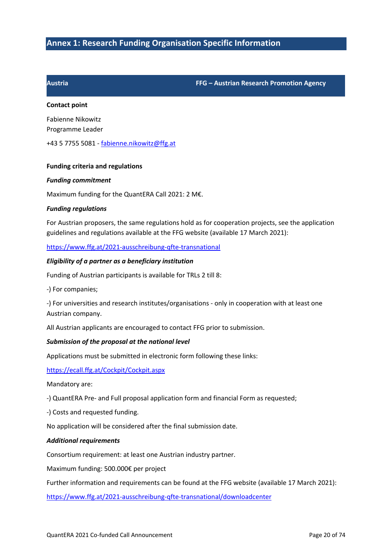# **Annex 1: Research Funding Organisation Specific Information**

#### **Austria FFG – Austrian Research Promotion Agency**

#### **Contact point**

Fabienne Nikowitz Programme Leader

+43 5 7755 5081 - fabienne.nikowitz@ffg.at

#### **Funding criteria and regulations**

#### *Funding commitment*

Maximum funding for the QuantERA Call 2021: 2 M€.

#### *Funding regulations*

For Austrian proposers, the same regulations hold as for cooperation projects, see the application guidelines and regulations available at the FFG website (available 17 March 2021):

https://www.ffg.at/2021-ausschreibung-qfte-transnational

#### *Eligibility of a partner as a beneficiary institution*

Funding of Austrian participants is available for TRLs 2 till 8:

-) For companies;

-) For universities and research institutes/organisations - only in cooperation with at least one Austrian company.

All Austrian applicants are encouraged to contact FFG prior to submission.

#### *Submission of the proposal at the national level*

Applications must be submitted in electronic form following these links:

https://ecall.ffg.at/Cockpit/Cockpit.aspx

Mandatory are:

-) QuantERA Pre- and Full proposal application form and financial Form as requested;

-) Costs and requested funding.

No application will be considered after the final submission date.

#### *Additional requirements*

Consortium requirement: at least one Austrian industry partner.

Maximum funding: 500.000€ per project

Further information and requirements can be found at the FFG website (available 17 March 2021):

https://www.ffg.at/2021-ausschreibung-qfte-transnational/downloadcenter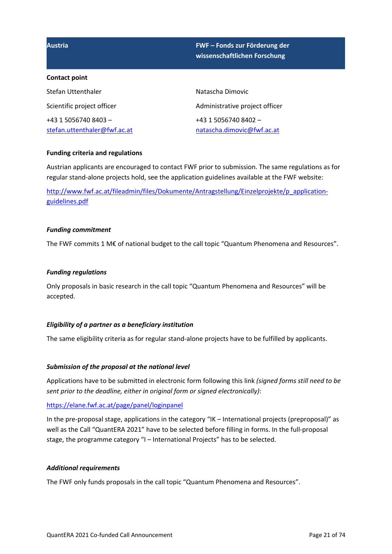**Austria FWF – Fonds zur Förderung der wissenschaftlichen Forschung**

#### **Contact point**

| Stefan Uttenthaler           | Natascha Dimovic               |
|------------------------------|--------------------------------|
| Scientific project officer   | Administrative project officer |
| +43 1 5056740 8403 -         | +43 1 5056740 8402 -           |
| stefan.uttenthaler@fwf.ac.at | natascha.dimovic@fwf.ac.at     |

#### **Funding criteria and regulations**

Austrian applicants are encouraged to contact FWF prior to submission. The same regulations as for regular stand-alone projects hold, see the application guidelines available at the FWF website:

http://www.fwf.ac.at/fileadmin/files/Dokumente/Antragstellung/Einzelprojekte/p\_applicationguidelines.pdf

#### *Funding commitment*

The FWF commits 1 M€ of national budget to the call topic "Quantum Phenomena and Resources".

#### *Funding regulations*

Only proposals in basic research in the call topic "Quantum Phenomena and Resources" will be accepted.

#### *Eligibility of a partner as a beneficiary institution*

The same eligibility criteria as for regular stand-alone projects have to be fulfilled by applicants.

#### *Submission of the proposal at the national level*

Applications have to be submitted in electronic form following this link *(signed forms still need to be sent prior to the deadline, either in original form or signed electronically)*:

#### https://elane.fwf.ac.at/page/panel/loginpanel

In the pre-proposal stage, applications in the category "IK – International projects (preproposal)" as well as the Call "QuantERA 2021" have to be selected before filling in forms. In the full-proposal stage, the programme category "I – International Projects" has to be selected.

#### *Additional requirements*

The FWF only funds proposals in the call topic "Quantum Phenomena and Resources".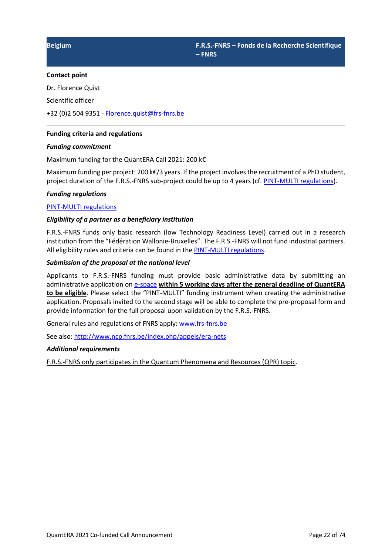#### **Contact point**

Dr. Florence Quist

Scientific officer

+32 (0)2 504 9351 - Florence.quist@frs-fnrs.be

#### **Funding criteria and regulations**

#### *Funding commitment*

Maximum funding for the QuantERA Call 2021: 200 k€

Maximum funding per project: 200 k€/3 years. If the project involves the recruitment of a PhD student, project duration of the F.R.S.-FNRS sub-project could be up to 4 years (cf. PINT-MULTI regulations).

#### *Funding regulations*

#### PINT-MULTI regulations

#### *Eligibility of a partner as a beneficiary institution*

F.R.S.-FNRS funds only basic research (low Technology Readiness Level) carried out in a research institution from the "Fédération Wallonie-Bruxelles". The F.R.S.-FNRS will not fund industrial partners. All eligibility rules and criteria can be found in the **PINT-MULTI regulations**.

#### *Submission of the proposal at the national level*

Applicants to F.R.S.-FNRS funding must provide basic administrative data by submitting an administrative application on e-space **within 5 working days after the general deadline of QuantERA to be eligible**. Please select the "PINT-MULTI" funding instrument when creating the administrative application. Proposals invited to the second stage will be able to complete the pre-proposal form and provide information for the full proposal upon validation by the F.R.S.-FNRS.

General rules and regulations of FNRS apply: www.frs-fnrs.be

See also: http://www.ncp.fnrs.be/index.php/appels/era-nets

#### *Additional requirements*

F.R.S.-FNRS only participates in the Quantum Phenomena and Resources (QPR) topic.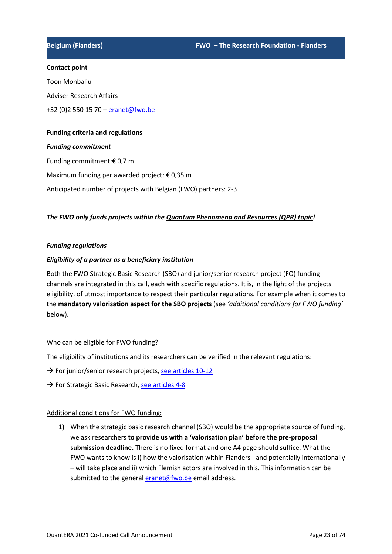#### **Contact point**

Toon Monbaliu

Adviser Research Affairs

+32 (0)2 550 15 70 – eranet@fwo.be

#### **Funding criteria and regulations**

#### *Funding commitment*

Funding commitment:€ 0,7 m

Maximum funding per awarded project: € 0,35 m

Anticipated number of projects with Belgian (FWO) partners: 2-3

### *The FWO only funds projects within the Quantum Phenomena and Resources (QPR) topic!*

### *Funding regulations*

### *Eligibility of a partner as a beneficiary institution*

Both the FWO Strategic Basic Research (SBO) and junior/senior research project (FO) funding channels are integrated in this call, each with specific regulations. It is, in the light of the projects eligibility, of utmost importance to respect their particular regulations. For example when it comes to the **mandatory valorisation aspect for the SBO projects** (see *'additional conditions for FWO funding'* below).

# Who can be eligible for FWO funding?

The eligibility of institutions and its researchers can be verified in the relevant regulations:

- $\rightarrow$  For junior/senior research projects, see articles 10-12
- $\rightarrow$  For Strategic Basic Research, see articles 4-8

#### Additional conditions for FWO funding:

1) When the strategic basic research channel (SBO) would be the appropriate source of funding, we ask researchers **to provide us with a 'valorisation plan' before the pre-proposal submission deadline.** There is no fixed format and one A4 page should suffice. What the FWO wants to know is i) how the valorisation within Flanders - and potentially internationally – will take place and ii) which Flemish actors are involved in this. This information can be submitted to the general eranet@fwo.be email address.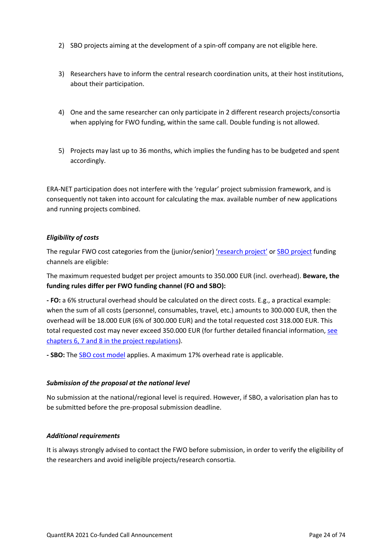- 2) SBO projects aiming at the development of a spin-off company are not eligible here.
- 3) Researchers have to inform the central research coordination units, at their host institutions, about their participation.
- 4) One and the same researcher can only participate in 2 different research projects/consortia when applying for FWO funding, within the same call. Double funding is not allowed.
- 5) Projects may last up to 36 months, which implies the funding has to be budgeted and spent accordingly.

ERA-NET participation does not interfere with the 'regular' project submission framework, and is consequently not taken into account for calculating the max. available number of new applications and running projects combined.

### *Eligibility of costs*

The regular FWO cost categories from the (junior/senior) 'research project' or SBO project funding channels are eligible:

The maximum requested budget per project amounts to 350.000 EUR (incl. overhead). **Beware, the funding rules differ per FWO funding channel (FO and SBO):**

**- FO:** a 6% structural overhead should be calculated on the direct costs. E.g., a practical example: when the sum of all costs (personnel, consumables, travel, etc.) amounts to 300.000 EUR, then the overhead will be 18.000 EUR (6% of 300.000 EUR) and the total requested cost 318.000 EUR. This total requested cost may never exceed 350.000 EUR (for further detailed financial information, see chapters 6, 7 and 8 in the project regulations).

**- SBO:** The SBO cost model applies. A maximum 17% overhead rate is applicable.

#### *Submission of the proposal at the national level*

No submission at the national/regional level is required. However, if SBO, a valorisation plan has to be submitted before the pre-proposal submission deadline.

#### *Additional requirements*

It is always strongly advised to contact the FWO before submission, in order to verify the eligibility of the researchers and avoid ineligible projects/research consortia.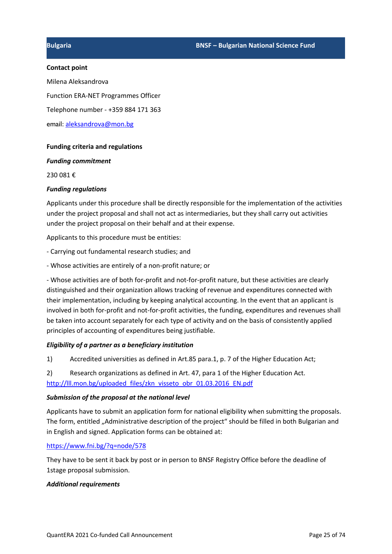#### **Contact point**

Milena Aleksandrova Function ERA-NET Programmes Officer Telephone number - +359 884 171 363 email: aleksandrova@mon.bg

### **Funding criteria and regulations**

*Funding commitment*

230 081 €

#### *Funding regulations*

Applicants under this procedure shall be directly responsible for the implementation of the activities under the project proposal and shall not act as intermediaries, but they shall carry out activities under the project proposal on their behalf and at their expense.

Applicants to this procedure must be entities:

- Carrying out fundamental research studies; and
- Whose activities are entirely of a non-profit nature; or

- Whose activities are of both for-profit and not-for-profit nature, but these activities are clearly distinguished and their organization allows tracking of revenue and expenditures connected with their implementation, including by keeping analytical accounting. In the event that an applicant is involved in both for-profit and not-for-profit activities, the funding, expenditures and revenues shall be taken into account separately for each type of activity and on the basis of consistently applied principles of accounting of expenditures being justifiable.

#### *Eligibility of a partner as a beneficiary institution*

1) Accredited universities as defined in Art.85 para.1, p. 7 of the Higher Education Act;

2) Research organizations as defined in Art. 47, para 1 of the Higher Education Act. http://III.mon.bg/uploaded\_files/zkn\_visseto\_obr\_01.03.2016\_EN.pdf

# *Submission of the proposal at the national level*

Applicants have to submit an application form for national eligibility when submitting the proposals. The form, entitled "Administrative description of the project" should be filled in both Bulgarian and in English and signed. Application forms can be obtained at:

#### https://www.fni.bg/?q=node/578

They have to be sent it back by post or in person to BNSF Registry Office before the deadline of 1stage proposal submission.

#### *Additional requirements*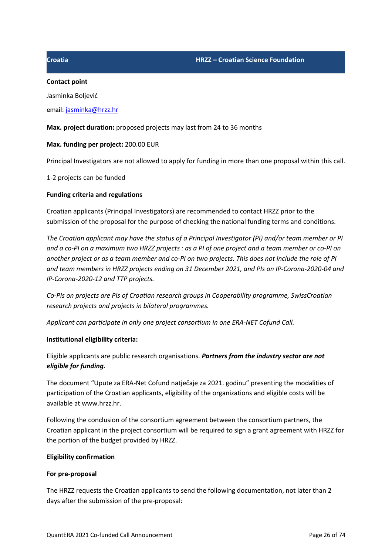#### **Croatia HRZZ – Croatian Science Foundation**

#### **Contact point**

Jasminka Boljević

email: jasminka@hrzz.hr

**Max. project duration:** proposed projects may last from 24 to 36 months

#### **Max. funding per project:** 200.00 EUR

Principal Investigators are not allowed to apply for funding in more than one proposal within this call.

1-2 projects can be funded

#### **Funding criteria and regulations**

Croatian applicants (Principal Investigators) are recommended to contact HRZZ prior to the submission of the proposal for the purpose of checking the national funding terms and conditions.

*The Croatian applicant may have the status of a Principal Investigator (PI) and/or team member or PI and a co-PI on a maximum two HRZZ projects : as a PI of one project and a team member or co-PI on another project or as a team member and co-PI on two projects. This does not include the role of PI and team members in HRZZ projects ending on 31 December 2021, and PIs on IP-Corona-2020-04 and IP-Corona-2020-12 and TTP projects.* 

*Co-PIs on projects are PIs of Croatian research groups in Cooperability programme, SwissCroatian research projects and projects in bilateral programmes.*

*Applicant can participate in only one project consortium in one ERA-NET Cofund Call.*

#### **Institutional eligibility criteria:**

Eligible applicants are public research organisations. *Partners from the industry sector are not eligible for funding.*

The document "Upute za ERA-Net Cofund natječaje za 2021. godinu" presenting the modalities of participation of the Croatian applicants, eligibility of the organizations and eligible costs will be available at www.hrzz.hr.

Following the conclusion of the consortium agreement between the consortium partners, the Croatian applicant in the project consortium will be required to sign a grant agreement with HRZZ for the portion of the budget provided by HRZZ.

#### **Eligibility confirmation**

#### **For pre-proposal**

The HRZZ requests the Croatian applicants to send the following documentation, not later than 2 days after the submission of the pre-proposal: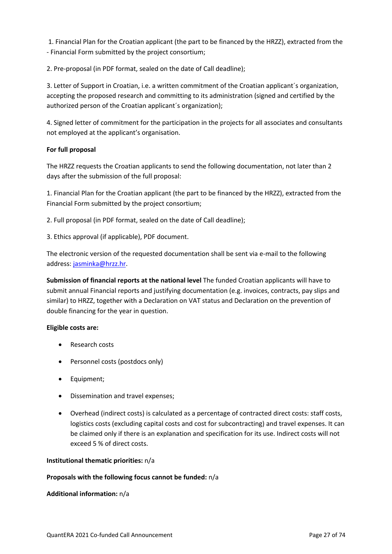1. Financial Plan for the Croatian applicant (the part to be financed by the HRZZ), extracted from the - Financial Form submitted by the project consortium;

2. Pre-proposal (in PDF format, sealed on the date of Call deadline);

3. Letter of Support in Croatian, i.e. a written commitment of the Croatian applicant´s organization, accepting the proposed research and committing to its administration (signed and certified by the authorized person of the Croatian applicant´s organization);

4. Signed letter of commitment for the participation in the projects for all associates and consultants not employed at the applicant's organisation.

# **For full proposal**

The HRZZ requests the Croatian applicants to send the following documentation, not later than 2 days after the submission of the full proposal:

1. Financial Plan for the Croatian applicant (the part to be financed by the HRZZ), extracted from the Financial Form submitted by the project consortium;

2. Full proposal (in PDF format, sealed on the date of Call deadline);

3. Ethics approval (if applicable), PDF document.

The electronic version of the requested documentation shall be sent via e-mail to the following address: jasminka@hrzz.hr.

**Submission of financial reports at the national level** The funded Croatian applicants will have to submit annual Financial reports and justifying documentation (e.g. invoices, contracts, pay slips and similar) to HRZZ, together with a Declaration on VAT status and Declaration on the prevention of double financing for the year in question.

# **Eligible costs are:**

- Research costs
- Personnel costs (postdocs only)
- Equipment;
- Dissemination and travel expenses;
- Overhead (indirect costs) is calculated as a percentage of contracted direct costs: staff costs, logistics costs (excluding capital costs and cost for subcontracting) and travel expenses. It can be claimed only if there is an explanation and specification for its use. Indirect costs will not exceed 5 % of direct costs.

# **Institutional thematic priorities:** n/a

# **Proposals with the following focus cannot be funded:** n/a

#### **Additional information:** n/a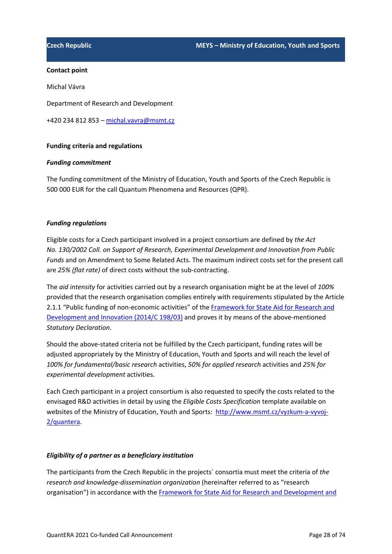#### **Contact point**

Michal Vávra

Department of Research and Development

+420 234 812 853 – michal.vavra@msmt.cz

#### **Funding criteria and regulations**

#### *Funding commitment*

The funding commitment of the Ministry of Education, Youth and Sports of the Czech Republic is 500 000 EUR for the call Quantum Phenomena and Resources (QPR).

#### *Funding regulations*

Eligible costs for a Czech participant involved in a project consortium are defined by *the Act No. 130/2002 Coll. on Support of Research, Experimental Development and Innovation from Public Funds* and on Amendment to Some Related Acts. The maximum indirect costs set for the present call are *25% (flat rate)* of direct costs without the sub-contracting.

The *aid intensity* for activities carried out by a research organisation might be at the level of *100%* provided that the research organisation complies entirely with requirements stipulated by the Article 2.1.1 "Public funding of non-economic activities" of the Framework for State Aid for Research and Development and Innovation (2014/C 198/03) and proves it by means of the above-mentioned *Statutory Declaration*.

Should the above-stated criteria not be fulfilled by the Czech participant, funding rates will be adjusted appropriately by the Ministry of Education, Youth and Sports and will reach the level of *100% for fundamental/basic research* activities, *50% for applied research* activities and *25% for experimental development* activities.

Each Czech participant in a project consortium is also requested to specify the costs related to the envisaged R&D activities in detail by using the *Eligible Costs Specification* template available on websites of the Ministry of Education, Youth and Sports: http://www.msmt.cz/vyzkum-a-vyvoj-2/quantera.

#### *Eligibility of a partner as a beneficiary institution*

The participants from the Czech Republic in the projects´ consortia must meet the criteria of *the research and knowledge-dissemination organization* (hereinafter referred to as "research organisation") in accordance with the Framework for State Aid for Research and Development and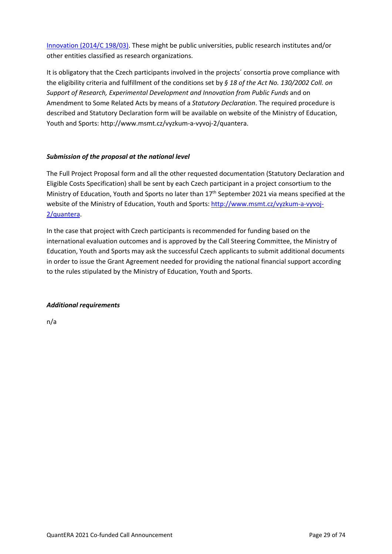Innovation (2014/C 198/03). These might be public universities, public research institutes and/or other entities classified as research organizations.

It is obligatory that the Czech participants involved in the projects´ consortia prove compliance with the eligibility criteria and fulfillment of the conditions set by *§ 18 of the Act No. 130/2002 Coll. on Support of Research, Experimental Development and Innovation from Public Funds* and on Amendment to Some Related Acts by means of a *Statutory Declaration*. The required procedure is described and Statutory Declaration form will be available on website of the Ministry of Education, Youth and Sports: http://www.msmt.cz/vyzkum-a-vyvoj-2/quantera.

# *Submission of the proposal at the national level*

The Full Project Proposal form and all the other requested documentation (Statutory Declaration and Eligible Costs Specification) shall be sent by each Czech participant in a project consortium to the Ministry of Education, Youth and Sports no later than 17<sup>th</sup> September 2021 via means specified at the website of the Ministry of Education, Youth and Sports: http://www.msmt.cz/vyzkum-a-vyvoj-2/quantera.

In the case that project with Czech participants is recommended for funding based on the international evaluation outcomes and is approved by the Call Steering Committee, the Ministry of Education, Youth and Sports may ask the successful Czech applicants to submit additional documents in order to issue the Grant Agreement needed for providing the national financial support according to the rules stipulated by the Ministry of Education, Youth and Sports.

# *Additional requirements*

n/a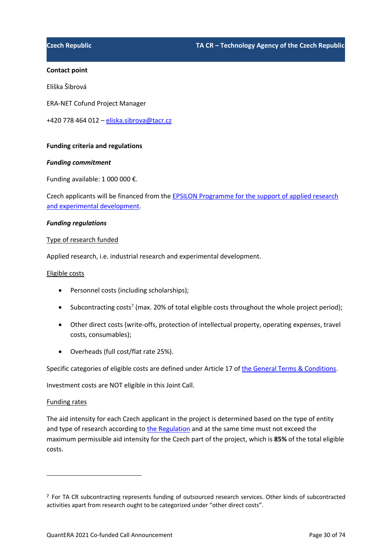#### **Contact point**

Eliška Šibrová

ERA-NET Cofund Project Manager

+420 778 464 012 – eliska.sibrova@tacr.cz

#### **Funding criteria and regulations**

#### *Funding commitment*

Funding available: 1 000 000 €.

Czech applicants will be financed from the EPSILON Programme for the support of applied research and experimental development.

#### *Funding regulations*

#### Type of research funded

Applied research, i.e. industrial research and experimental development.

#### Eligible costs

- Personnel costs (including scholarships);
- Subcontracting costs<sup>7</sup> (max. 20% of total eligible costs throughout the whole project period);
- Other direct costs (write-offs, protection of intellectual property, operating expenses, travel costs, consumables);
- Overheads (full cost/flat rate 25%).

Specific categories of eligible costs are defined under Article 17 of the General Terms & Conditions.

Investment costs are NOT eligible in this Joint Call.

#### Funding rates

The aid intensity for each Czech applicant in the project is determined based on the type of entity and type of research according to the Regulation and at the same time must not exceed the maximum permissible aid intensity for the Czech part of the project, which is **85%** of the total eligible costs.

<sup>7</sup> For TA CR subcontracting represents funding of outsourced research services. Other kinds of subcontracted activities apart from research ought to be categorized under "other direct costs".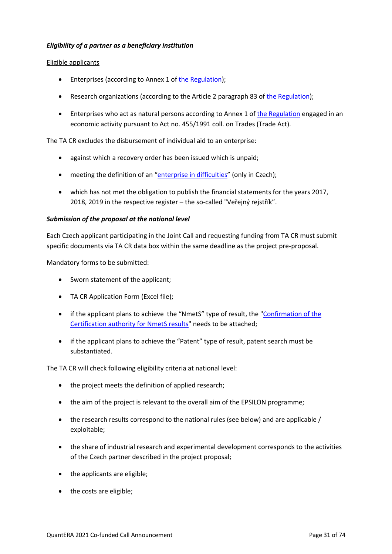# *Eligibility of a partner as a beneficiary institution*

#### Eligible applicants

- Enterprises (according to Annex 1 of the Regulation);
- Research organizations (according to the Article 2 paragraph 83 of the Regulation);
- Enterprises who act as natural persons according to Annex 1 of the Regulation engaged in an economic activity pursuant to Act no. 455/1991 coll. on Trades (Trade Act).

The TA CR excludes the disbursement of individual aid to an enterprise:

- against which a recovery order has been issued which is unpaid;
- meeting the definition of an "enterprise in difficulties" (only in Czech);
- which has not met the obligation to publish the financial statements for the years 2017, 2018, 2019 in the respective register – the so-called "Veřejný rejstřík".

### *Submission of the proposal at the national level*

Each Czech applicant participating in the Joint Call and requesting funding from TA CR must submit specific documents via TA CR data box within the same deadline as the project pre-proposal.

Mandatory forms to be submitted:

- Sworn statement of the applicant;
- TA CR Application Form (Excel file);
- if the applicant plans to achieve the "NmetS" type of result, the "Confirmation of the Certification authority for NmetS results" needs to be attached;
- if the applicant plans to achieve the "Patent" type of result, patent search must be substantiated.

The TA CR will check following eligibility criteria at national level:

- the project meets the definition of applied research;
- the aim of the project is relevant to the overall aim of the EPSILON programme;
- the research results correspond to the national rules (see below) and are applicable / exploitable;
- the share of industrial research and experimental development corresponds to the activities of the Czech partner described in the project proposal;
- the applicants are eligible;
- the costs are eligible;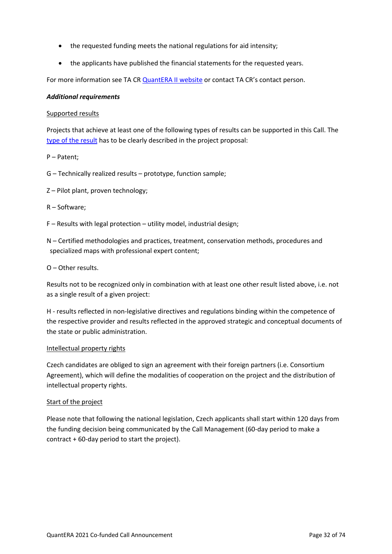- the requested funding meets the national regulations for aid intensity;
- the applicants have published the financial statements for the requested years.

For more information see TA CR QuantERA II website or contact TA CR's contact person.

#### *Additional requirements*

#### Supported results

Projects that achieve at least one of the following types of results can be supported in this Call. The type of the result has to be clearly described in the project proposal:

- P Patent;
- G Technically realized results prototype, function sample;
- Z Pilot plant, proven technology;

#### R – Software;

- F Results with legal protection utility model, industrial design;
- N Certified methodologies and practices, treatment, conservation methods, procedures and specialized maps with professional expert content;

#### O – Other results.

Results not to be recognized only in combination with at least one other result listed above, i.e. not as a single result of a given project:

H - results reflected in non-legislative directives and regulations binding within the competence of the respective provider and results reflected in the approved strategic and conceptual documents of the state or public administration.

#### Intellectual property rights

Czech candidates are obliged to sign an agreement with their foreign partners (i.e. Consortium Agreement), which will define the modalities of cooperation on the project and the distribution of intellectual property rights.

#### Start of the project

Please note that following the national legislation, Czech applicants shall start within 120 days from the funding decision being communicated by the Call Management (60-day period to make a contract + 60-day period to start the project).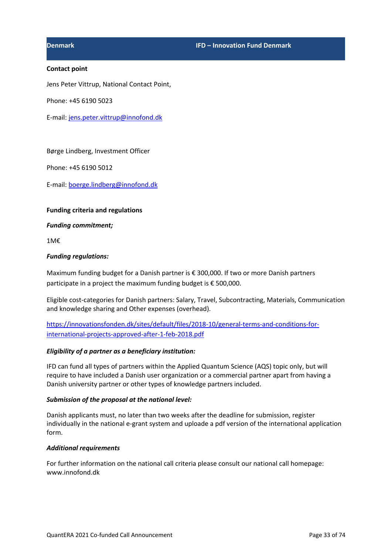#### **Contact point**

Jens Peter Vittrup, National Contact Point,

Phone: +45 6190 5023

E-mail: jens.peter.vittrup@innofond.dk

Børge Lindberg, Investment Officer

Phone: +45 6190 5012

E-mail: boerge.lindberg@innofond.dk

#### **Funding criteria and regulations**

*Funding commitment;* 

1M€

#### *Funding regulations:*

Maximum funding budget for a Danish partner is € 300,000. If two or more Danish partners participate in a project the maximum funding budget is € 500,000.

Eligible cost-categories for Danish partners: Salary, Travel, Subcontracting, Materials, Communication and knowledge sharing and Other expenses (overhead).

https://innovationsfonden.dk/sites/default/files/2018-10/general-terms-and-conditions-forinternational-projects-approved-after-1-feb-2018.pdf

#### *Eligibility of a partner as a beneficiary institution:*

IFD can fund all types of partners within the Applied Quantum Science (AQS) topic only, but will require to have included a Danish user organization or a commercial partner apart from having a Danish university partner or other types of knowledge partners included.

#### *Submission of the proposal at the national level:*

Danish applicants must, no later than two weeks after the deadline for submission, register individually in the national e-grant system and uploade a pdf version of the international application form.

#### *Additional requirements*

For further information on the national call criteria please consult our national call homepage: www.innofond.dk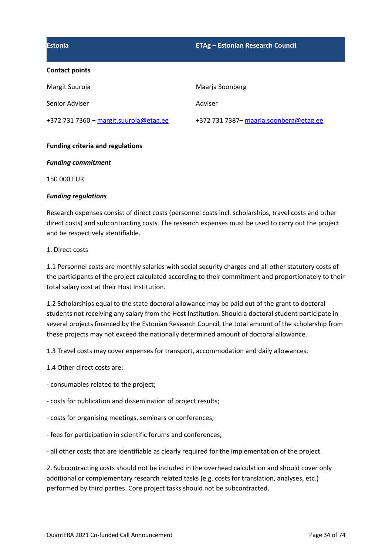| <b>ETAg - Estonian Research Council</b> |
|-----------------------------------------|
|                                         |
| Maarja Soonberg                         |
| Adviser                                 |
| +372 731 7387- maarja.soonberg@etag.ee  |
|                                         |

### **Funding criteria and regulations**

#### *Funding commitment*

150 000 EUR

#### *Funding regulations*

Research expenses consist of direct costs (personnel costs incl. scholarships, travel costs and other direct costs) and subcontracting costs. The research expenses must be used to carry out the project and be respectively identifiable.

#### 1. Direct costs

1.1 Personnel costs are monthly salaries with social security charges and all other statutory costs of the participants of the project calculated according to their commitment and proportionately to their total salary cost at their Host Institution.

1.2 Scholarships equal to the state doctoral allowance may be paid out of the grant to doctoral students not receiving any salary from the Host Institution. Should a doctoral student participate in several projects financed by the Estonian Research Council, the total amount of the scholarship from these projects may not exceed the nationally determined amount of doctoral allowance.

1.3 Travel costs may cover expenses for transport, accommodation and daily allowances.

- 1.4 Other direct costs are:
- consumables related to the project;
- costs for publication and dissemination of project results;
- costs for organising meetings, seminars or conferences;
- fees for participation in scientific forums and conferences;

- all other costs that are identifiable as clearly required for the implementation of the project.

2. Subcontracting costs should not be included in the overhead calculation and should cover only additional or complementary research related tasks (e.g. costs for translation, analyses, etc.) performed by third parties. Core project tasks should not be subcontracted.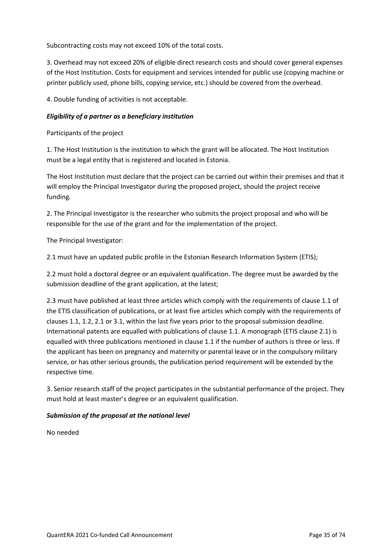Subcontracting costs may not exceed 10% of the total costs.

3. Overhead may not exceed 20% of eligible direct research costs and should cover general expenses of the Host Institution. Costs for equipment and services intended for public use (copying machine or printer publicly used, phone bills, copying service, etc.) should be covered from the overhead.

4. Double funding of activities is not acceptable.

#### *Eligibility of a partner as a beneficiary institution*

Participants of the project

1. The Host Institution is the institution to which the grant will be allocated. The Host Institution must be a legal entity that is registered and located in Estonia.

The Host Institution must declare that the project can be carried out within their premises and that it will employ the Principal Investigator during the proposed project, should the project receive funding.

2. The Principal Investigator is the researcher who submits the project proposal and who will be responsible for the use of the grant and for the implementation of the project.

The Principal Investigator:

2.1 must have an updated public profile in the Estonian Research Information System (ETIS);

2.2 must hold a doctoral degree or an equivalent qualification. The degree must be awarded by the submission deadline of the grant application, at the latest;

2.3 must have published at least three articles which comply with the requirements of clause 1.1 of the ETIS classification of publications, or at least five articles which comply with the requirements of clauses 1.1, 1.2, 2.1 or 3.1, within the last five years prior to the proposal submission deadline. International patents are equalled with publications of clause 1.1. A monograph (ETIS clause 2.1) is equalled with three publications mentioned in clause 1.1 if the number of authors is three or less. If the applicant has been on pregnancy and maternity or parental leave or in the compulsory military service, or has other serious grounds, the publication period requirement will be extended by the respective time.

3. Senior research staff of the project participates in the substantial performance of the project. They must hold at least master's degree or an equivalent qualification.

#### *Submission of the proposal at the national level*

No needed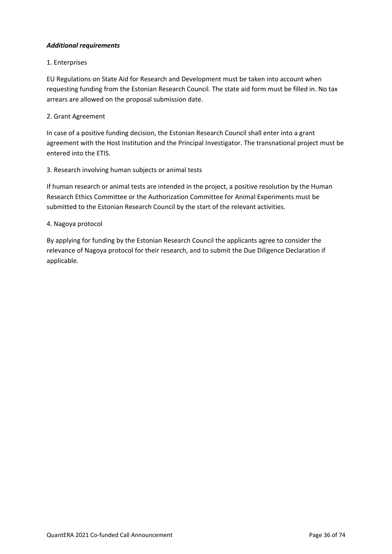# *Additional requirements*

### 1. Enterprises

EU Regulations on State Aid for Research and Development must be taken into account when requesting funding from the Estonian Research Council. The state aid form must be filled in. No tax arrears are allowed on the proposal submission date.

### 2. Grant Agreement

In case of a positive funding decision, the Estonian Research Council shall enter into a grant agreement with the Host Institution and the Principal Investigator. The transnational project must be entered into the ETIS.

### 3. Research involving human subjects or animal tests

If human research or animal tests are intended in the project, a positive resolution by the Human Research Ethics Committee or the Authorization Committee for Animal Experiments must be submitted to the Estonian Research Council by the start of the relevant activities.

### 4. Nagoya protocol

By applying for funding by the Estonian Research Council the applicants agree to consider the relevance of Nagoya protocol for their research, and to submit the Due Diligence Declaration if applicable.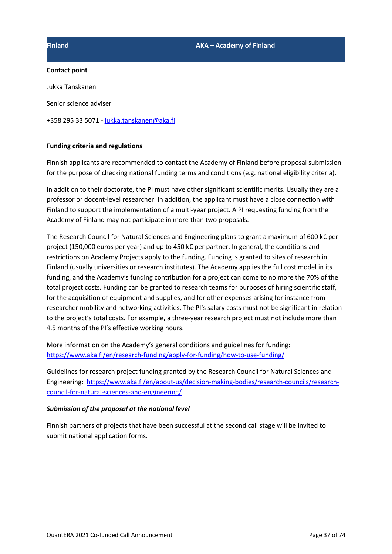Jukka Tanskanen

Senior science adviser

+358 295 33 5071 - jukka.tanskanen@aka.fi

## **Funding criteria and regulations**

Finnish applicants are recommended to contact the Academy of Finland before proposal submission for the purpose of checking national funding terms and conditions (e.g. national eligibility criteria).

In addition to their doctorate, the PI must have other significant scientific merits. Usually they are a professor or docent-level researcher. In addition, the applicant must have a close connection with Finland to support the implementation of a multi-year project. A PI requesting funding from the Academy of Finland may not participate in more than two proposals.

The Research Council for Natural Sciences and Engineering plans to grant a maximum of 600 k€ per project (150,000 euros per year) and up to 450 k€ per partner. In general, the conditions and restrictions on Academy Projects apply to the funding. Funding is granted to sites of research in Finland (usually universities or research institutes). The Academy applies the full cost model in its funding, and the Academy's funding contribution for a project can come to no more the 70% of the total project costs. Funding can be granted to research teams for purposes of hiring scientific staff, for the acquisition of equipment and supplies, and for other expenses arising for instance from researcher mobility and networking activities. The PI's salary costs must not be significant in relation to the project's total costs. For example, a three-year research project must not include more than 4.5 months of the PI's effective working hours.

More information on the Academy's general conditions and guidelines for funding: https://www.aka.fi/en/research-funding/apply-for-funding/how-to-use-funding/

Guidelines for research project funding granted by the Research Council for Natural Sciences and Engineering: https://www.aka.fi/en/about-us/decision-making-bodies/research-councils/researchcouncil-for-natural-sciences-and-engineering/

# *Submission of the proposal at the national level*

Finnish partners of projects that have been successful at the second call stage will be invited to submit national application forms.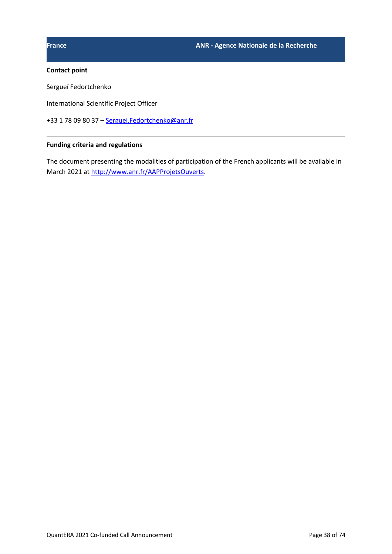Sergueï Fedortchenko

International Scientific Project Officer

+33 1 78 09 80 37 – Serguei.Fedortchenko@anr.fr

## **Funding criteria and regulations**

The document presenting the modalities of participation of the French applicants will be available in March 2021 at http://www.anr.fr/AAPProjetsOuverts.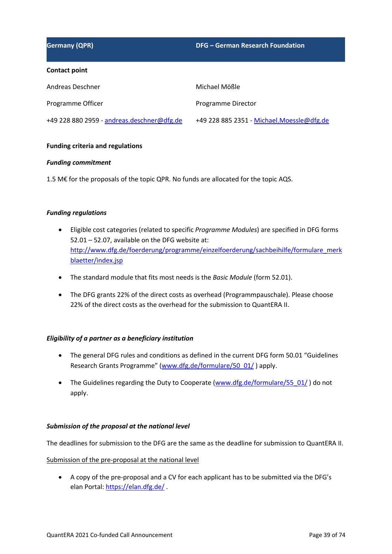| <b>Germany (QPR)</b>                       | <b>DFG</b> – German Research Foundation   |
|--------------------------------------------|-------------------------------------------|
| Contact point                              |                                           |
| Andreas Deschner                           | Michael Mößle                             |
| Programme Officer                          | Programme Director                        |
| +49 228 880 2959 - andreas.deschner@dfg.de | +49 228 885 2351 - Michael.Moessle@dfg.de |

## **Funding criteria and regulations**

## *Funding commitment*

1.5 M€ for the proposals of the topic QPR. No funds are allocated for the topic AQS.

## *Funding regulations*

- Eligible cost categories (related to specific *Programme Modules*) are specified in DFG forms 52.01 – 52.07, available on the DFG website at: http://www.dfg.de/foerderung/programme/einzelfoerderung/sachbeihilfe/formulare\_merk blaetter/index.jsp
- The standard module that fits most needs is the *Basic Module* (form 52.01).
- The DFG grants 22% of the direct costs as overhead (Programmpauschale). Please choose 22% of the direct costs as the overhead for the submission to QuantERA II.

## *Eligibility of a partner as a beneficiary institution*

- The general DFG rules and conditions as defined in the current DFG form 50.01 "Guidelines Research Grants Programme" (www.dfg.de/formulare/50\_01/) apply.
- The Guidelines regarding the Duty to Cooperate (www.dfg.de/formulare/55\_01/) do not apply.

## *Submission of the proposal at the national level*

The deadlines for submission to the DFG are the same as the deadline for submission to QuantERA II.

## Submission of the pre-proposal at the national level

• A copy of the pre-proposal and a CV for each applicant has to be submitted via the DFG's elan Portal: https://elan.dfg.de/ .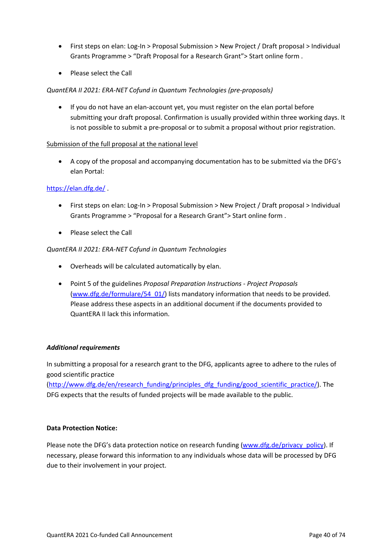- First steps on elan: Log-In > Proposal Submission > New Project / Draft proposal > Individual Grants Programme > "Draft Proposal for a Research Grant"> Start online form .
- Please select the Call

# *QuantERA II 2021: ERA-NET Cofund in Quantum Technologies (pre-proposals)*

• If you do not have an elan-account yet, you must register on the elan portal before submitting your draft proposal. Confirmation is usually provided within three working days. It is not possible to submit a pre-proposal or to submit a proposal without prior registration.

## Submission of the full proposal at the national level

• A copy of the proposal and accompanying documentation has to be submitted via the DFG's elan Portal:

# https://elan.dfg.de/ .

- First steps on elan: Log-In > Proposal Submission > New Project / Draft proposal > Individual Grants Programme > "Proposal for a Research Grant"> Start online form .
- Please select the Call

## *QuantERA II 2021: ERA-NET Cofund in Quantum Technologies*

- Overheads will be calculated automatically by elan.
- Point 5 of the guidelines *Proposal Preparation Instructions - Project Proposals*  (www.dfg.de/formulare/54\_01/) lists mandatory information that needs to be provided. Please address these aspects in an additional document if the documents provided to QuantERA II lack this information.

## *Additional requirements*

In submitting a proposal for a research grant to the DFG, applicants agree to adhere to the rules of good scientific practice

(http://www.dfg.de/en/research\_funding/principles\_dfg\_funding/good\_scientific\_practice/). The DFG expects that the results of funded projects will be made available to the public.

## **Data Protection Notice:**

Please note the DFG's data protection notice on research funding (www.dfg.de/privacy\_policy). If necessary, please forward this information to any individuals whose data will be processed by DFG due to their involvement in your project.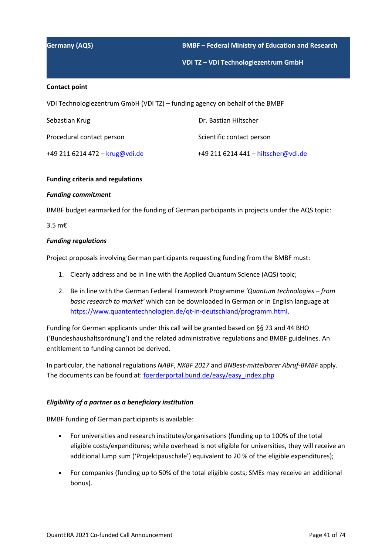**Germany (AQS) BMBF – Federal Ministry of Education and Research**

**VDI TZ – VDI Technologiezentrum GmbH**

### **Contact point**

VDI Technologiezentrum GmbH (VDI TZ) – funding agency on behalf of the BMBF

| Sebastian Krug                 | Dr. Bastian Hiltscher               |
|--------------------------------|-------------------------------------|
| Procedural contact person      | Scientific contact person           |
| +49 211 6214 472 - krug@vdi.de | +49 211 6214 441 - hiltscher@vdi.de |

### **Funding criteria and regulations**

### *Funding commitment*

BMBF budget earmarked for the funding of German participants in projects under the AQS topic:

3.5 m€

### *Funding regulations*

Project proposals involving German participants requesting funding from the BMBF must:

- 1. Clearly address and be in line with the Applied Quantum Science (AQS) topic;
- 2. Be in line with the German Federal Framework Programme *'Quantum technologies – from basic research to market'* which can be downloaded in German or in English language at https://www.quantentechnologien.de/qt-in-deutschland/programm.html.

Funding for German applicants under this call will be granted based on §§ 23 and 44 BHO ('Bundeshaushaltsordnung') and the related administrative regulations and BMBF guidelines. An entitlement to funding cannot be derived.

In particular, the national regulations *NABF*, *NKBF 2017* and *BNBest-mittelbarer Abruf-BMBF* apply. The documents can be found at: foerderportal.bund.de/easy/easy\_index.php

### *Eligibility of a partner as a beneficiary institution*

BMBF funding of German participants is available:

- For universities and research institutes/organisations (funding up to 100% of the total eligible costs/expenditures; while overhead is not eligible for universities, they will receive an additional lump sum ('Projektpauschale') equivalent to 20 % of the eligible expenditures);
- For companies (funding up to 50% of the total eligible costs; SMEs may receive an additional bonus).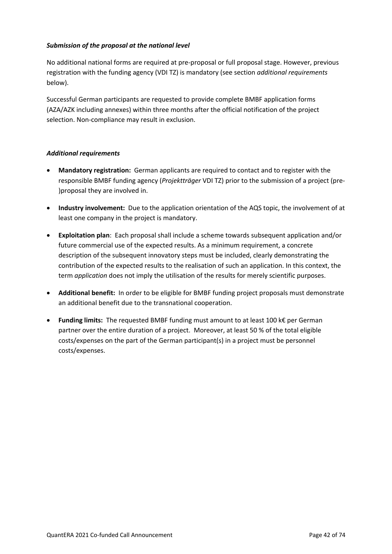# *Submission of the proposal at the national level*

No additional national forms are required at pre-proposal or full proposal stage. However, previous registration with the funding agency (VDI TZ) is mandatory (see section *additional requirements*  below).

Successful German participants are requested to provide complete BMBF application forms (AZA/AZK including annexes) within three months after the official notification of the project selection. Non-compliance may result in exclusion.

# *Additional requirements*

- **Mandatory registration:** German applicants are required to contact and to register with the responsible BMBF funding agency (*Projektträger* VDI TZ) prior to the submission of a project (pre- )proposal they are involved in.
- **Industry involvement:** Due to the application orientation of the AQS topic, the involvement of at least one company in the project is mandatory.
- **Exploitation plan**: Each proposal shall include a scheme towards subsequent application and/or future commercial use of the expected results. As a minimum requirement, a concrete description of the subsequent innovatory steps must be included, clearly demonstrating the contribution of the expected results to the realisation of such an application. In this context, the term *application* does not imply the utilisation of the results for merely scientific purposes.
- **Additional benefit:** In order to be eligible for BMBF funding project proposals must demonstrate an additional benefit due to the transnational cooperation.
- **Funding limits:** The requested BMBF funding must amount to at least 100 k€ per German partner over the entire duration of a project. Moreover, at least 50 % of the total eligible costs/expenses on the part of the German participant(s) in a project must be personnel costs/expenses.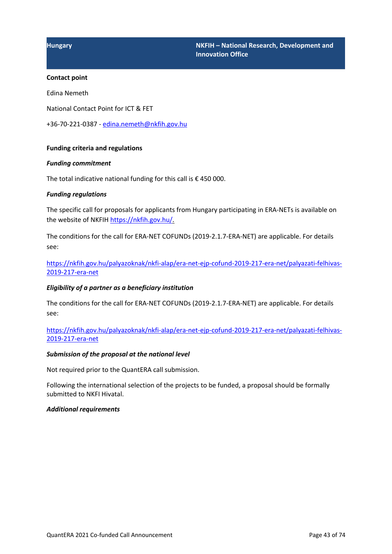Edina Nemeth

National Contact Point for ICT & FET

+36-70-221-0387 - edina.nemeth@nkfih.gov.hu

## **Funding criteria and regulations**

## *Funding commitment*

The total indicative national funding for this call is  $\epsilon$  450 000.

## *Funding regulations*

The specific call for proposals for applicants from Hungary participating in ERA-NETs is available on the website of NKFIH https://nkfih.gov.hu/.

The conditions for the call for ERA-NET COFUNDs (2019-2.1.7-ERA-NET) are applicable. For details see:

https://nkfih.gov.hu/palyazoknak/nkfi-alap/era-net-ejp-cofund-2019-217-era-net/palyazati-felhivas-2019-217-era-net

## *Eligibility of a partner as a beneficiary institution*

The conditions for the call for ERA-NET COFUNDs (2019-2.1.7-ERA-NET) are applicable. For details see:

# https://nkfih.gov.hu/palyazoknak/nkfi-alap/era-net-ejp-cofund-2019-217-era-net/palyazati-felhivas-2019-217-era-net

## *Submission of the proposal at the national level*

Not required prior to the QuantERA call submission.

Following the international selection of the projects to be funded, a proposal should be formally submitted to NKFI Hivatal.

### *Additional requirements*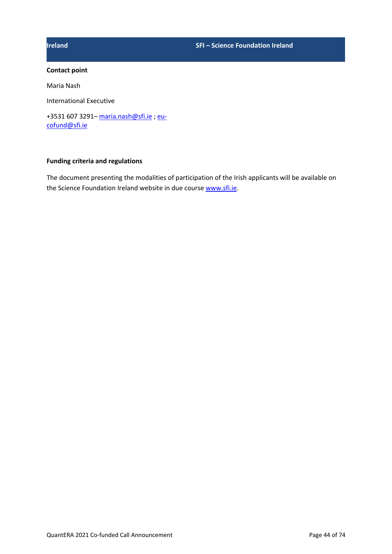Maria Nash

International Executive

+3531 607 3291 - maria.nash@sfi.ie ; eucofund@sfi.ie

## **Funding criteria and regulations**

The document presenting the modalities of participation of the Irish applicants will be available on the Science Foundation Ireland website in due course www.sfi.ie.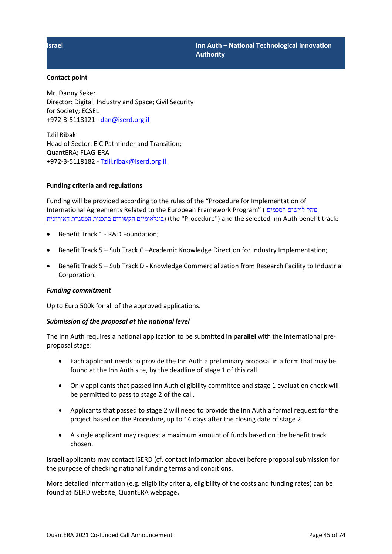Mr. Danny Seker Director: Digital, Industry and Space; Civil Security for Society; ECSEL +972-3-5118121 - dan@iserd.org.il

Tzlil Ribak Head of Sector: EIC Pathfinder and Transition; QuantERA; FLAG-ERA +972-3-5118182 - Tzlil.ribak@iserd.org.il

## **Funding criteria and regulations**

Funding will be provided according to the rules of the "Procedure for Implementation of International Agreements Related to the European Framework Program" ( םושיי םימכסה ל להונ תיכית הקשורים בתכנית המסגרת האירופית (the "Procedure") and the selected Inn Auth benefit track:

- Benefit Track 1 R&D Foundation;
- Benefit Track 5 Sub Track C –Academic Knowledge Direction for Industry Implementation;
- Benefit Track 5 Sub Track D Knowledge Commercialization from Research Facility to Industrial Corporation.

## *Funding commitment*

Up to Euro 500k for all of the approved applications.

### *Submission of the proposal at the national level*

The Inn Auth requires a national application to be submitted **in parallel** with the international preproposal stage:

- Each applicant needs to provide the Inn Auth a preliminary proposal in a form that may be found at the Inn Auth site, by the deadline of stage 1 of this call.
- Only applicants that passed Inn Auth eligibility committee and stage 1 evaluation check will be permitted to pass to stage 2 of the call.
- Applicants that passed to stage 2 will need to provide the Inn Auth a formal request for the project based on the Procedure, up to 14 days after the closing date of stage 2.
- A single applicant may request a maximum amount of funds based on the benefit track chosen.

Israeli applicants may contact ISERD (cf. contact information above) before proposal submission for the purpose of checking national funding terms and conditions.

More detailed information (e.g. eligibility criteria, eligibility of the costs and funding rates) can be found at ISERD website, QuantERA webpage**.**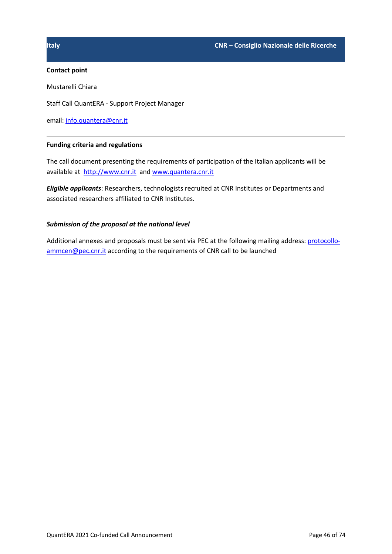Mustarelli Chiara

Staff Call QuantERA - Support Project Manager

email: info.quantera@cnr.it

## **Funding criteria and regulations**

The call document presenting the requirements of participation of the Italian applicants will be available at http://www.cnr.it and www.quantera.cnr.it

*Eligible applicants*: Researchers, technologists recruited at CNR Institutes or Departments and associated researchers affiliated to CNR Institutes.

## *Submission of the proposal at the national level*

Additional annexes and proposals must be sent via PEC at the following mailing address: protocolloammcen@pec.cnr.it according to the requirements of CNR call to be launched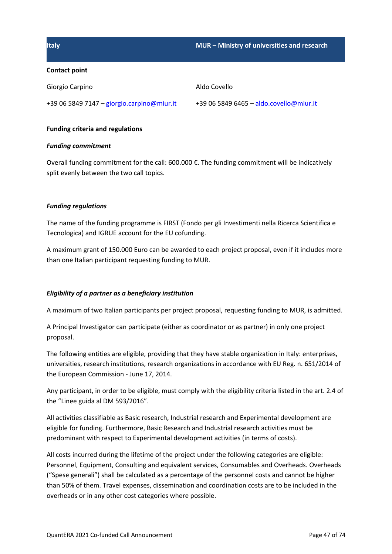| <b>Italy</b>                               | MUR - Ministry of universities and research |
|--------------------------------------------|---------------------------------------------|
| <b>Contact point</b>                       |                                             |
| Giorgio Carpino                            | Aldo Covello                                |
| +39 06 5849 7147 - giorgio.carpino@miur.it | +39 06 5849 6465 - aldo.covello@miur.it     |

## **Funding criteria and regulations**

## *Funding commitment*

Overall funding commitment for the call: 600.000 €. The funding commitment will be indicatively split evenly between the two call topics.

## *Funding regulations*

The name of the funding programme is FIRST (Fondo per gli Investimenti nella Ricerca Scientifica e Tecnologica) and IGRUE account for the EU cofunding.

A maximum grant of 150.000 Euro can be awarded to each project proposal, even if it includes more than one Italian participant requesting funding to MUR.

## *Eligibility of a partner as a beneficiary institution*

A maximum of two Italian participants per project proposal, requesting funding to MUR, is admitted.

A Principal Investigator can participate (either as coordinator or as partner) in only one project proposal.

The following entities are eligible, providing that they have stable organization in Italy: enterprises, universities, research institutions, research organizations in accordance with EU Reg. n. 651/2014 of the European Commission - June 17, 2014.

Any participant, in order to be eligible, must comply with the eligibility criteria listed in the art. 2.4 of the "Linee guida al DM 593/2016".

All activities classifiable as Basic research, Industrial research and Experimental development are eligible for funding. Furthermore, Basic Research and Industrial research activities must be predominant with respect to Experimental development activities (in terms of costs).

All costs incurred during the lifetime of the project under the following categories are eligible: Personnel, Equipment, Consulting and equivalent services, Consumables and Overheads. Overheads ("Spese generali") shall be calculated as a percentage of the personnel costs and cannot be higher than 50% of them. Travel expenses, dissemination and coordination costs are to be included in the overheads or in any other cost categories where possible.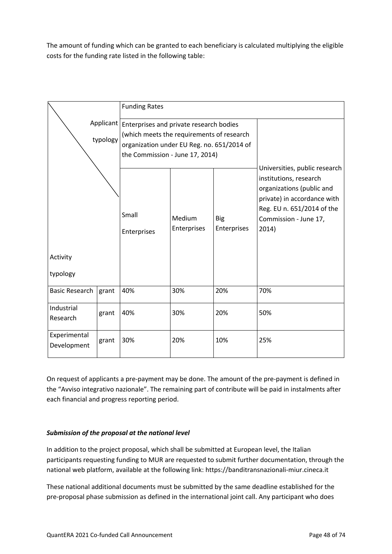The amount of funding which can be granted to each beneficiary is calculated multiplying the eligible costs for the funding rate listed in the following table:

|                             |                       | <b>Funding Rates</b>                                                                                                                                                  |                       |                           |                                                                                                                                                                                     |
|-----------------------------|-----------------------|-----------------------------------------------------------------------------------------------------------------------------------------------------------------------|-----------------------|---------------------------|-------------------------------------------------------------------------------------------------------------------------------------------------------------------------------------|
|                             | Applicant<br>typology | Enterprises and private research bodies<br>(which meets the requirements of research<br>organization under EU Reg. no. 651/2014 of<br>the Commission - June 17, 2014) |                       |                           |                                                                                                                                                                                     |
| Activity<br>typology        |                       | Small<br>Enterprises                                                                                                                                                  | Medium<br>Enterprises | <b>Big</b><br>Enterprises | Universities, public research<br>institutions, research<br>organizations (public and<br>private) in accordance with<br>Reg. EU n. 651/2014 of the<br>Commission - June 17,<br>2014) |
| <b>Basic Research</b>       | grant                 | 40%                                                                                                                                                                   | 30%                   | 20%                       | 70%                                                                                                                                                                                 |
| Industrial<br>Research      | grant                 | 40%                                                                                                                                                                   | 30%                   | 20%                       | 50%                                                                                                                                                                                 |
| Experimental<br>Development | grant                 | 30%                                                                                                                                                                   | 20%                   | 10%                       | 25%                                                                                                                                                                                 |

On request of applicants a pre-payment may be done. The amount of the pre-payment is defined in the "Avviso integrativo nazionale". The remaining part of contribute will be paid in instalments after each financial and progress reporting period.

# *Submission of the proposal at the national level*

In addition to the project proposal, which shall be submitted at European level, the Italian participants requesting funding to MUR are requested to submit further documentation, through the national web platform, available at the following link: https://banditransnazionali-miur.cineca.it

These national additional documents must be submitted by the same deadline established for the pre-proposal phase submission as defined in the international joint call. Any participant who does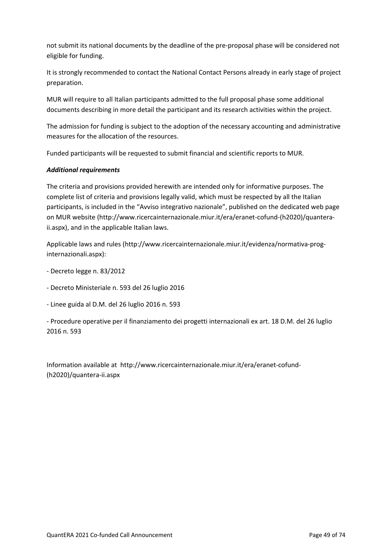not submit its national documents by the deadline of the pre-proposal phase will be considered not eligible for funding.

It is strongly recommended to contact the National Contact Persons already in early stage of project preparation.

MUR will require to all Italian participants admitted to the full proposal phase some additional documents describing in more detail the participant and its research activities within the project.

The admission for funding is subject to the adoption of the necessary accounting and administrative measures for the allocation of the resources.

Funded participants will be requested to submit financial and scientific reports to MUR.

## *Additional requirements*

The criteria and provisions provided herewith are intended only for informative purposes. The complete list of criteria and provisions legally valid, which must be respected by all the Italian participants, is included in the "Avviso integrativo nazionale", published on the dedicated web page on MUR website (http://www.ricercainternazionale.miur.it/era/eranet-cofund-(h2020)/quanteraii.aspx), and in the applicable Italian laws.

Applicable laws and rules (http://www.ricercainternazionale.miur.it/evidenza/normativa-proginternazionali.aspx):

- Decreto legge n. 83/2012
- Decreto Ministeriale n. 593 del 26 luglio 2016
- Linee guida al D.M. del 26 luglio 2016 n. 593

- Procedure operative per il finanziamento dei progetti internazionali ex art. 18 D.M. del 26 luglio 2016 n. 593

Information available at http://www.ricercainternazionale.miur.it/era/eranet-cofund- (h2020)/quantera-ii.aspx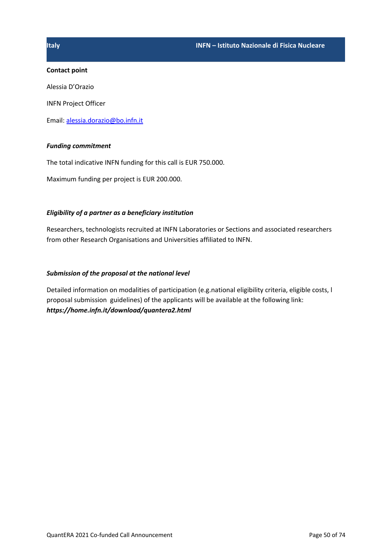Alessia D'Orazio

INFN Project Officer

Email: alessia.dorazio@bo.infn.it

## *Funding commitment*

The total indicative INFN funding for this call is EUR 750.000.

Maximum funding per project is EUR 200.000.

## *Eligibility of a partner as a beneficiary institution*

Researchers, technologists recruited at INFN Laboratories or Sections and associated researchers from other Research Organisations and Universities affiliated to INFN.

## *Submission of the proposal at the national level*

Detailed information on modalities of participation (e.g.national eligibility criteria, eligible costs, l proposal submission guidelines) of the applicants will be available at the following link: *https://home.infn.it/download/quantera2.html*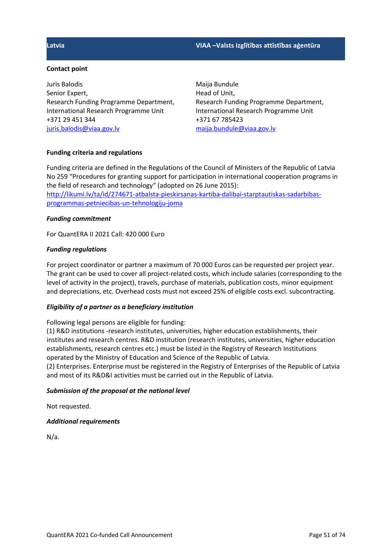## **Latvia VIAA –Valsts izglītības attīstības aģentūra**

### **Contact point**

Juris Balodis Senior Expert, Research Funding Programme Department, International Research Programme Unit +371 29 451 344 juris.balodis@viaa.gov.lv

Maija Bundule Head of Unit, Research Funding Programme Department, International Research Programme Unit +371 67 785423 maija.bundule@viaa.gov.lv

## **Funding criteria and regulations**

Funding criteria are defined in the Regulations of the Council of Ministers of the Republic of Latvia No 259 "Procedures for granting support for participation in international cooperation programs in the field of research and technology" (adopted on 26 June 2015): http://likumi.lv/ta/id/274671-atbalsta-pieskirsanas-kartiba-dalibai-starptautiskas-sadarbibas-

programmas-petniecibas-un-tehnologiju-joma

## *Funding commitment*

For QuantERA II 2021 Call: 420 000 Euro

## *Funding regulations*

For project coordinator or partner a maximum of 70 000 Euros can be requested per project year. The grant can be used to cover all project-related costs, which include salaries (corresponding to the level of activity in the project), travels, purchase of materials, publication costs, minor equipment and depreciations, etc. Overhead costs must not exceed 25% of eligible costs excl. subcontracting.

### *Eligibility of a partner as a beneficiary institution*

Following legal persons are eligible for funding:

(1) R&D institutions -research institutes, universities, higher education establishments, their institutes and research centres. R&D institution (research institutes, universities, higher education establishments, research centres etc.) must be listed in the Registry of Research Institutions operated by the Ministry of Education and Science of the Republic of Latvia.

(2) Enterprises. Enterprise must be registered in the Registry of Enterprises of the Republic of Latvia and most of its R&D&I activities must be carried out in the Republic of Latvia.

## *Submission of the proposal at the national level*

Not requested.

## *Additional requirements*

N/a.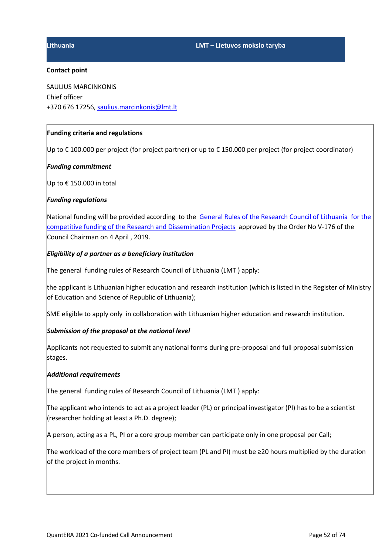SAULIUS MARCINKONIS Chief officer +370 676 17256, saulius.marcinkonis@lmt.lt

## **Funding criteria and regulations**

Up to € 100.000 per project (for project partner) or up to € 150.000 per project (for project coordinator)

## *Funding commitment*

Up to € 150.000 in total

## *Funding regulations*

National funding will be provided according to the General Rules of the Research Council of Lithuania for the competitive funding of the Research and Dissemination Projects approved by the Order No V-176 of the Council Chairman on 4 April , 2019.

## *Eligibility of a partner as a beneficiary institution*

The general funding rules of Research Council of Lithuania (LMT ) apply:

the applicant is Lithuanian higher education and research institution (which is listed in the Register of Ministry of Education and Science of Republic of Lithuania);

SME eligible to apply only in collaboration with Lithuanian higher education and research institution.

## *Submission of the proposal at the national level*

Applicants not requested to submit any national forms during pre-proposal and full proposal submission stages.

### *Additional requirements*

The general funding rules of Research Council of Lithuania (LMT ) apply:

The applicant who intends to act as a project leader (PL) or principal investigator (PI) has to be a scientist (researcher holding at least a Ph.D. degree);

A person, acting as a PL, PI or a core group member can participate only in one proposal per Call;

The workload of the core members of project team (PL and PI) must be ≥20 hours multiplied by the duration of the project in months.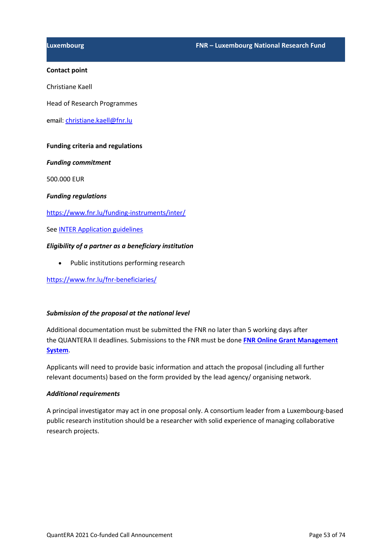Christiane Kaell

Head of Research Programmes

email: christiane.kaell@fnr.lu

### **Funding criteria and regulations**

### *Funding commitment*

500.000 EUR

### *Funding regulations*

https://www.fnr.lu/funding-instruments/inter/

See INTER Application guidelines

## *Eligibility of a partner as a beneficiary institution*

• Public institutions performing research

https://www.fnr.lu/fnr-beneficiaries/

## *Submission of the proposal at the national level*

Additional documentation must be submitted the FNR no later than 5 working days after the QUANTERA II deadlines. Submissions to the FNR must be done **FNR Online Grant Management System**.

Applicants will need to provide basic information and attach the proposal (including all further relevant documents) based on the form provided by the lead agency/ organising network.

### *Additional requirements*

A principal investigator may act in one proposal only. A consortium leader from a Luxembourg-based public research institution should be a researcher with solid experience of managing collaborative research projects.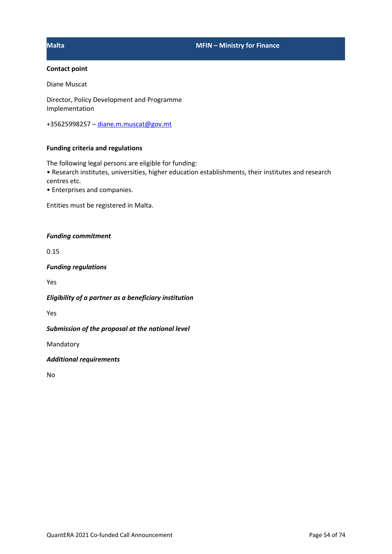## **Malta MFIN – Ministry for Finance**

## **Contact point**

Diane Muscat

Director, Policy Development and Programme Implementation

+35625998257 - diane.m.muscat@gov.mt

## **Funding criteria and regulations**

The following legal persons are eligible for funding: • Research institutes, universities, higher education establishments, their institutes and research centres etc.

• Enterprises and companies.

Entities must be registered in Malta.

## *Funding commitment*

0.15

*Funding regulations*

Yes

*Eligibility of a partner as a beneficiary institution*

Yes

*Submission of the proposal at the national level*

Mandatory

*Additional requirements*

No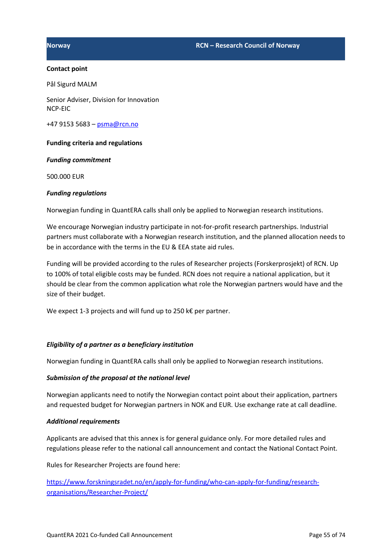Pål Sigurd MALM

Senior Adviser, Division for Innovation NCP-EIC

+47 9153 5683 – psma@rcn.no

## **Funding criteria and regulations**

## *Funding commitment*

500.000 EUR

## *Funding regulations*

Norwegian funding in QuantERA calls shall only be applied to Norwegian research institutions.

We encourage Norwegian industry participate in not-for-profit research partnerships. Industrial partners must collaborate with a Norwegian research institution, and the planned allocation needs to be in accordance with the terms in the EU & EEA state aid rules.

Funding will be provided according to the rules of Researcher projects (Forskerprosjekt) of RCN. Up to 100% of total eligible costs may be funded. RCN does not require a national application, but it should be clear from the common application what role the Norwegian partners would have and the size of their budget.

We expect 1-3 projects and will fund up to 250 k€ per partner.

## *Eligibility of a partner as a beneficiary institution*

Norwegian funding in QuantERA calls shall only be applied to Norwegian research institutions.

## *Submission of the proposal at the national level*

Norwegian applicants need to notify the Norwegian contact point about their application, partners and requested budget for Norwegian partners in NOK and EUR. Use exchange rate at call deadline.

### *Additional requirements*

Applicants are advised that this annex is for general guidance only. For more detailed rules and regulations please refer to the national call announcement and contact the National Contact Point.

Rules for Researcher Projects are found here:

https://www.forskningsradet.no/en/apply-for-funding/who-can-apply-for-funding/researchorganisations/Researcher-Project/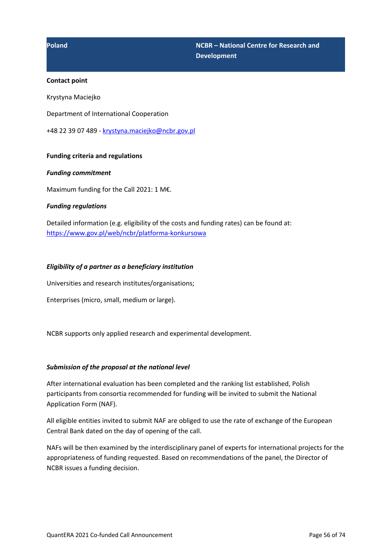Krystyna Maciejko

Department of International Cooperation

+48 22 39 07 489 - krystyna.maciejko@ncbr.gov.pl

## **Funding criteria and regulations**

## *Funding commitment*

Maximum funding for the Call 2021: 1 M€.

## *Funding regulations*

Detailed information (e.g. eligibility of the costs and funding rates) can be found at: https://www.gov.pl/web/ncbr/platforma-konkursowa

## *Eligibility of a partner as a beneficiary institution*

Universities and research institutes/organisations;

Enterprises (micro, small, medium or large).

NCBR supports only applied research and experimental development.

### *Submission of the proposal at the national level*

After international evaluation has been completed and the ranking list established, Polish participants from consortia recommended for funding will be invited to submit the National Application Form (NAF).

All eligible entities invited to submit NAF are obliged to use the rate of exchange of the European Central Bank dated on the day of opening of the call.

NAFs will be then examined by the interdisciplinary panel of experts for international projects for the appropriateness of funding requested. Based on recommendations of the panel, the Director of NCBR issues a funding decision.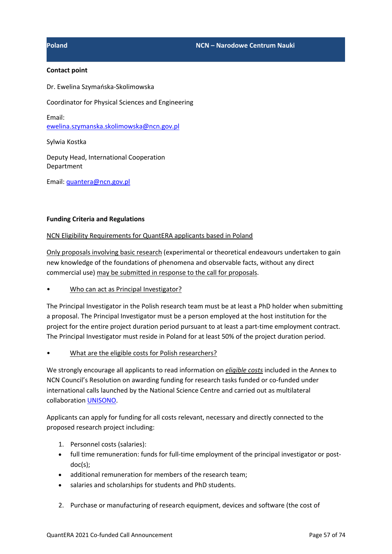Dr. Ewelina Szymańska-Skolimowska

Coordinator for Physical Sciences and Engineering

Email: ewelina.szymanska.skolimowska@ncn.gov.pl

Sylwia Kostka

Deputy Head, International Cooperation Department

Email: quantera@ncn.gov.pl

## **Funding Criteria and Regulations**

## NCN Eligibility Requirements for QuantERA applicants based in Poland

Only proposals involving basic research (experimental or theoretical endeavours undertaken to gain new knowledge of the foundations of phenomena and observable facts, without any direct commercial use) may be submitted in response to the call for proposals.

• Who can act as Principal Investigator?

The Principal Investigator in the Polish research team must be at least a PhD holder when submitting a proposal. The Principal Investigator must be a person employed at the host institution for the project for the entire project duration period pursuant to at least a part-time employment contract. The Principal Investigator must reside in Poland for at least 50% of the project duration period.

• What are the eligible costs for Polish researchers?

We strongly encourage all applicants to read information on *eligible costs* included in the Annex to NCN Council's Resolution on awarding funding for research tasks funded or co-funded under international calls launched by the National Science Centre and carried out as multilateral collaboration UNISONO.

Applicants can apply for funding for all costs relevant, necessary and directly connected to the proposed research project including:

- 1. Personnel costs (salaries):
- full time remuneration: funds for full-time employment of the principal investigator or postdoc(s);
- additional remuneration for members of the research team;
- salaries and scholarships for students and PhD students.
- 2. Purchase or manufacturing of research equipment, devices and software (the cost of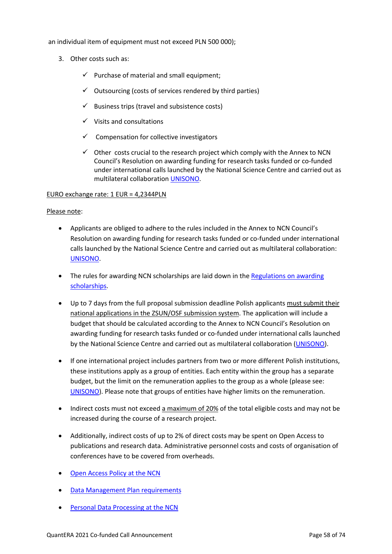an individual item of equipment must not exceed PLN 500 000);

- 3. Other costs such as:
	- $\checkmark$  Purchase of material and small equipment;
	- $\checkmark$  Outsourcing (costs of services rendered by third parties)
	- $\checkmark$  Business trips (travel and subsistence costs)
	- $\checkmark$  Visits and consultations
	- $\checkmark$  Compensation for collective investigators
	- $\checkmark$  Other costs crucial to the research project which comply with the Annex to NCN Council's Resolution on awarding funding for research tasks funded or co-funded under international calls launched by the National Science Centre and carried out as multilateral collaboration UNISONO.

## EURO exchange rate: 1 EUR = 4,2344PLN

## Please note:

- Applicants are obliged to adhere to the rules included in the Annex to NCN Council's Resolution on awarding funding for research tasks funded or co-funded under international calls launched by the National Science Centre and carried out as multilateral collaboration: UNISONO.
- The rules for awarding NCN scholarships are laid down in the Regulations on awarding scholarships.
- Up to 7 days from the full proposal submission deadline Polish applicants must submit their national applications in the ZSUN/OSF submission system. The application will include a budget that should be calculated according to the Annex to NCN Council's Resolution on awarding funding for research tasks funded or co-funded under international calls launched by the National Science Centre and carried out as multilateral collaboration (UNISONO).
- If one international project includes partners from two or more different Polish institutions, these institutions apply as a group of entities. Each entity within the group has a separate budget, but the limit on the remuneration applies to the group as a whole (please see: UNISONO). Please note that groups of entities have higher limits on the remuneration.
- Indirect costs must not exceed a maximum of 20% of the total eligible costs and may not be increased during the course of a research project.
- Additionally, indirect costs of up to 2% of direct costs may be spent on Open Access to publications and research data. Administrative personnel costs and costs of organisation of conferences have to be covered from overheads.
- Open Access Policy at the NCN
- Data Management Plan requirements
- Personal Data Processing at the NCN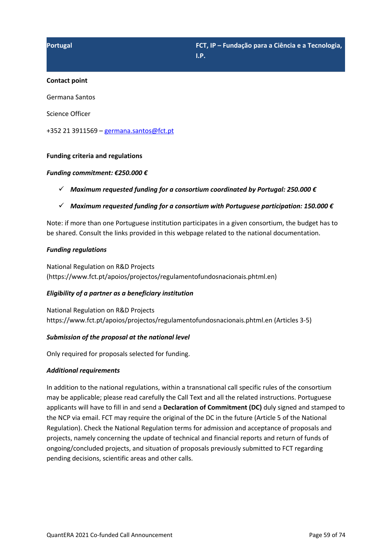Germana Santos

Science Officer

+352 21 3911569 – germana.santos@fct.pt

## **Funding criteria and regulations**

## *Funding commitment: €250.000 €*

ü *Maximum requested funding for a consortium coordinated by Portugal: 250.000 €*

## ü *Maximum requested funding for a consortium with Portuguese participation: 150.000 €*

Note: if more than one Portuguese institution participates in a given consortium, the budget has to be shared. Consult the links provided in this webpage related to the national documentation.

## *Funding regulations*

National Regulation on R&D Projects (https://www.fct.pt/apoios/projectos/regulamentofundosnacionais.phtml.en)

## *Eligibility of a partner as a beneficiary institution*

National Regulation on R&D Projects https://www.fct.pt/apoios/projectos/regulamentofundosnacionais.phtml.en (Articles 3-5)

## *Submission of the proposal at the national level*

Only required for proposals selected for funding.

### *Additional requirements*

In addition to the national regulations, within a transnational call specific rules of the consortium may be applicable; please read carefully the Call Text and all the related instructions. Portuguese applicants will have to fill in and send a **Declaration of Commitment (DC)** duly signed and stamped to the NCP via email. FCT may require the original of the DC in the future (Article 5 of the National Regulation). Check the National Regulation terms for admission and acceptance of proposals and projects, namely concerning the update of technical and financial reports and return of funds of ongoing/concluded projects, and situation of proposals previously submitted to FCT regarding pending decisions, scientific areas and other calls.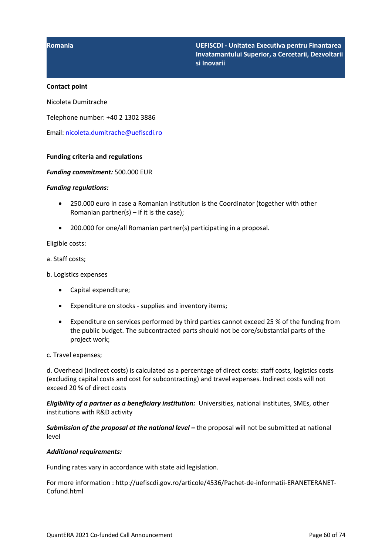**Romania UEFISCDI - Unitatea Executiva pentru Finantarea Invatamantului Superior, a Cercetarii, Dezvoltarii si Inovarii**

### **Contact point**

Nicoleta Dumitrache

Telephone number: +40 2 1302 3886

Email: nicoleta.dumitrache@uefiscdi.ro

## **Funding criteria and regulations**

### *Funding commitment:* 500.000 EUR

### *Funding regulations:*

- 250.000 euro in case a Romanian institution is the Coordinator (together with other Romanian partner(s)  $-$  if it is the case);
- 200.000 for one/all Romanian partner(s) participating in a proposal.

## Eligible costs:

- a. Staff costs;
- b. Logistics expenses
	- Capital expenditure;
	- Expenditure on stocks supplies and inventory items;
	- Expenditure on services performed by third parties cannot exceed 25 % of the funding from the public budget. The subcontracted parts should not be core/substantial parts of the project work;

### c. Travel expenses;

d. Overhead (indirect costs) is calculated as a percentage of direct costs: staff costs, logistics costs (excluding capital costs and cost for subcontracting) and travel expenses. Indirect costs will not exceed 20 % of direct costs

*Eligibility of a partner as a beneficiary institution:* Universities, national institutes, SMEs, other institutions with R&D activity

*Submission of the proposal at the national level –* the proposal will not be submitted at national level

### *Additional requirements:*

Funding rates vary in accordance with state aid legislation.

For more information : http://uefiscdi.gov.ro/articole/4536/Pachet-de-informatii-ERANETERANET-Cofund.html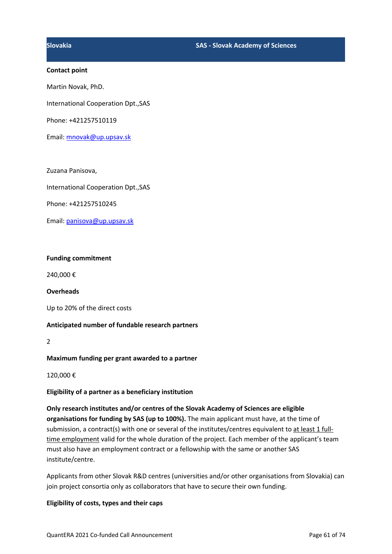Martin Novak, PhD.

International Cooperation Dpt.,SAS

Phone: +421257510119

Email: mnovak@up.upsav.sk

Zuzana Panisova,

International Cooperation Dpt.,SAS

Phone: +421257510245

Email: panisova@up.upsav.sk

### **Funding commitment**

240,000 €

**Overheads**

Up to 20% of the direct costs

## **Anticipated number of fundable research partners**

2

# **Maximum funding per grant awarded to a partner**

120,000 €

# **Eligibility of a partner as a beneficiary institution**

**Only research institutes and/or centres of the Slovak Academy of Sciences are eligible organisations for funding by SAS (up to 100%).** The main applicant must have, at the time of submission, a contract(s) with one or several of the institutes/centres equivalent to at least 1 fulltime employment valid for the whole duration of the project. Each member of the applicant's team must also have an employment contract or a fellowship with the same or another SAS institute/centre.

Applicants from other Slovak R&D centres (universities and/or other organisations from Slovakia) can join project consortia only as collaborators that have to secure their own funding.

# **Eligibility of costs, types and their caps**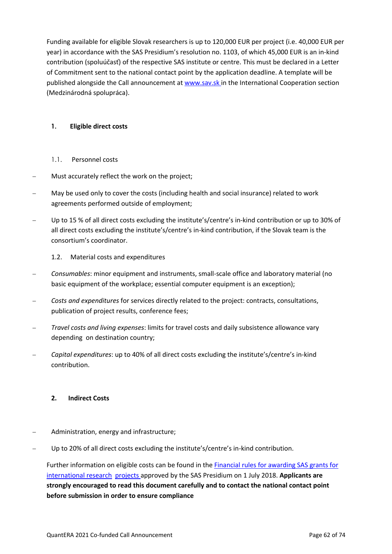Funding available for eligible Slovak researchers is up to 120,000 EUR per project (i.e. 40,000 EUR per year) in accordance with the SAS Presidium's resolution no. 1103, of which 45,000 EUR is an in-kind contribution (spoluúčasť) of the respective SAS institute or centre. This must be declared in a Letter of Commitment sent to the national contact point by the application deadline. A template will be published alongside the Call announcement at www.sav.sk in the International Cooperation section (Medzinárodná spolupráca).

# **1. Eligible direct costs**

## 1.1. Personnel costs

- Must accurately reflect the work on the project;
- May be used only to cover the costs (including health and social insurance) related to work agreements performed outside of employment;
- Up to 15 % of all direct costs excluding the institute's/centre's in-kind contribution or up to 30% of all direct costs excluding the institute's/centre's in-kind contribution, if the Slovak team is the consortium's coordinator.

## 1.2. Material costs and expenditures

- *Consumables*: minor equipment and instruments, small-scale office and laboratory material (no basic equipment of the workplace; essential computer equipment is an exception);
- *Costs and expenditures* for services directly related to the project: contracts, consultations, publication of project results, conference fees;
- *Travel costs and living expenses*: limits for travel costs and daily subsistence allowance vary depending on destination country;
- *Capital expenditures*: up to 40% of all direct costs excluding the institute's/centre's in-kind contribution.

# **2. Indirect Costs**

- Administration, energy and infrastructure;
- Up to 20% of all direct costs excluding the institute's/centre's in-kind contribution.

Further information on eligible costs can be found in the Financial rules for awarding SAS grants for international research projects approved by the SAS Presidium on 1 July 2018. **Applicants are strongly encouraged to read this document carefully and to contact the national contact point before submission in order to ensure compliance**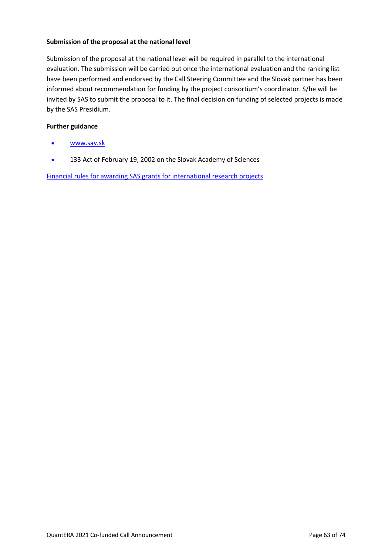# **Submission of the proposal at the national level**

Submission of the proposal at the national level will be required in parallel to the international evaluation. The submission will be carried out once the international evaluation and the ranking list have been performed and endorsed by the Call Steering Committee and the Slovak partner has been informed about recommendation for funding by the project consortium's coordinator. S/he will be invited by SAS to submit the proposal to it. The final decision on funding of selected projects is made by the SAS Presidium.

## **Further guidance**

- www.sav.sk
- 133 Act of February 19, 2002 on the Slovak Academy of Sciences

Financial rules for awarding SAS grants for international research projects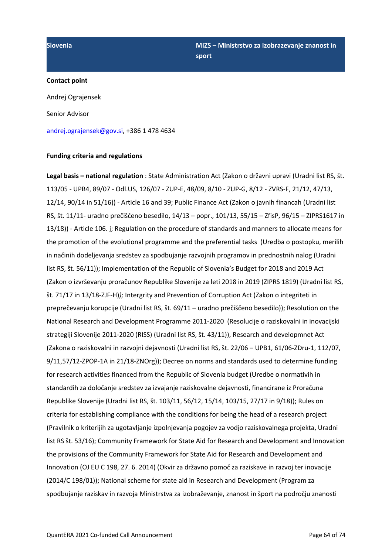Andrej Ograjensek

Senior Advisor

andrej.ograjensek@gov.si, +386 1 478 4634

### **Funding criteria and regulations**

**Legal basis – national regulation** : State Administration Act (Zakon o državni upravi (Uradni list RS, št. 113/05 - UPB4, 89/07 - Odl.US, 126/07 - ZUP-E, 48/09, 8/10 - ZUP-G, 8/12 - ZVRS-F, 21/12, 47/13, 12/14, 90/14 in 51/16)) - Article 16 and 39; Public Finance Act (Zakon o javnih financah (Uradni list RS, št. 11/11- uradno prečiščeno besedilo, 14/13 – popr., 101/13, 55/15 – ZfisP, 96/15 – ZIPRS1617 in 13/18)) - Article 106. j; Regulation on the procedure of standards and manners to allocate means for the promotion of the evolutional programme and the preferential tasks (Uredba o postopku, merilih in načinih dodeljevanja sredstev za spodbujanje razvojnih programov in prednostnih nalog (Uradni list RS, št. 56/11)); Implementation of the Republic of Slovenia's Budget for 2018 and 2019 Act (Zakon o izvrševanju proračunov Republike Slovenije za leti 2018 in 2019 (ZIPRS 1819) (Uradni list RS, št. 71/17 in 13/18-ZJF-H)*);* Intergrity and Prevention of Corruption Act (Zakon o integriteti in preprečevanju korupcije (Uradni list RS, št. 69/11 – uradno prečiščeno besedilo)); Resolution on the National Research and Development Programme 2011-2020 (Resolucije o raziskovalni in inovacijski strategiji Slovenije 2011-2020 (RISS) (Uradni list RS, št. 43/11)), Research and developmnet Act (Zakona o raziskovalni in razvojni dejavnosti (Uradni list RS, št. 22/06 – UPB1, 61/06-ZDru-1, 112/07, 9/11,57/12-ZPOP-1A in 21/18-ZNOrg)); Decree on norms and standards used to determine funding for research activities financed from the Republic of Slovenia budget (Uredbe o normativih in standardih za določanje sredstev za izvajanje raziskovalne dejavnosti, financirane iz Proračuna Republike Slovenije (Uradni list RS, št. 103/11, 56/12, 15/14, 103/15, 27/17 in 9/18)); Rules on criteria for establishing compliance with the conditions for being the head of a research project (Pravilnik o kriterijih za ugotavljanje izpolnjevanja pogojev za vodjo raziskovalnega projekta, Uradni list RS št. 53/16); Community Framework for State Aid for Research and Development and Innovation the provisions of the Community Framework for State Aid for Research and Development and Innovation (OJ EU C 198, 27. 6. 2014) (Okvir za državno pomoč za raziskave in razvoj ter inovacije (2014/C 198/01)); National scheme for state aid in Research and Development (Program za spodbujanje raziskav in razvoja Ministrstva za izobraževanje, znanost in šport na področju znanosti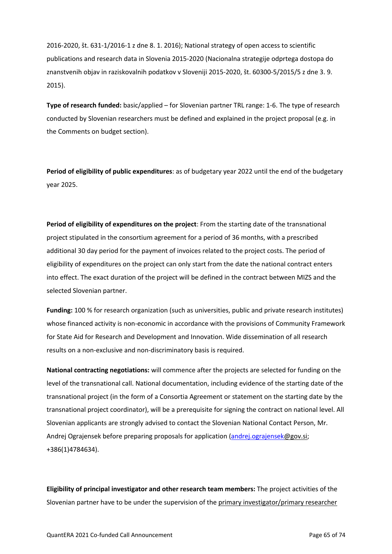2016-2020, št. 631-1/2016-1 z dne 8. 1. 2016); National strategy of open access to scientific publications and research data in Slovenia 2015-2020 (Nacionalna strategije odprtega dostopa do znanstvenih objav in raziskovalnih podatkov v Sloveniji 2015-2020, št. 60300-5/2015/5 z dne 3. 9. 2015).

**Type of research funded:** basic/applied – for Slovenian partner TRL range: 1-6. The type of research conducted by Slovenian researchers must be defined and explained in the project proposal (e.g. in the Comments on budget section).

**Period of eligibility of public expenditures**: as of budgetary year 2022 until the end of the budgetary year 2025.

**Period of eligibility of expenditures on the project**: From the starting date of the transnational project stipulated in the consortium agreement for a period of 36 months, with a prescribed additional 30 day period for the payment of invoices related to the project costs. The period of eligibility of expenditures on the project can only start from the date the national contract enters into effect. The exact duration of the project will be defined in the contract between MIZS and the selected Slovenian partner.

**Funding:** 100 % for research organization (such as universities, public and private research institutes) whose financed activity is non-economic in accordance with the provisions of Community Framework for State Aid for Research and Development and Innovation. Wide dissemination of all research results on a non-exclusive and non-discriminatory basis is required.

**National contracting negotiations:** will commence after the projects are selected for funding on the level of the transnational call. National documentation, including evidence of the starting date of the transnational project (in the form of a Consortia Agreement or statement on the starting date by the transnational project coordinator), will be a prerequisite for signing the contract on national level. All Slovenian applicants are strongly advised to contact the Slovenian National Contact Person, Mr. Andrej Ograjensek before preparing proposals for application (andrej.ograjensek@gov.si; +386(1)4784634).

**Eligibility of principal investigator and other research team members:** The project activities of the Slovenian partner have to be under the supervision of the primary investigator/primary researcher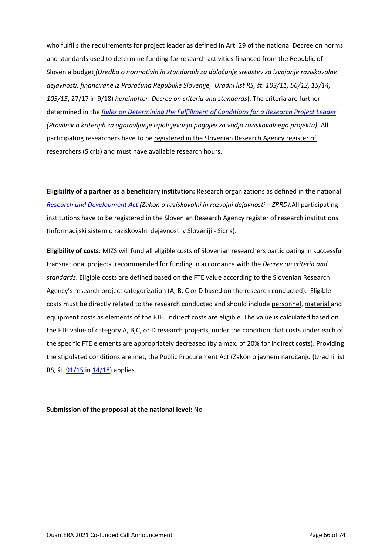who fulfills the requirements for project leader as defined in Art. 29 of the national Decree on norms and standards used to determine funding for research activities financed from the Republic of Slovenia budget *(Uredba o normativih in standardih za določanje sredstev za izvajanje raziskovalne dejavnosti, financirane iz Proračuna Republike Slovenije, Uradni list RS, št. 103/11, 56/12, 15/14, 103/15*, 27/17 in 9/18) *hereinafter*: *Decree on criteria and standards*). The criteria are further determined in the *Rules on Determining the Fulfillment of Conditions for a Research Project Leader (Pravilnik o kriterijih za ugotavljanje izpolnjevanja pogojev za vodjo raziskovalnega projekta)*. All participating researchers have to be registered in the Slovenian Research Agency register of researchers (Sicris) and must have available research hours.

**Eligibility of a partner as a beneficiary institution:** Research organizations as defined in the national *Research and Development Act (Zakon o raziskovalni in razvojni dejavnosti – ZRRD).*All participating institutions have to be registered in the Slovenian Research Agency register of research institutions (Informacijski sistem o raziskovalni dejavnosti v Sloveniji - Sicris).

**Eligibility of costs**: MIZS will fund all eligible costs of Slovenian researchers participating in successful transnational projects, recommended for funding in accordance with the *Decree on criteria and standards*. Eligible costs are defined based on the FTE value according to the Slovenian Research Agency's research project categorization (A, B, C or D based on the research conducted). Eligible costs must be directly related to the research conducted and should include personnel, material and equipment costs as elements of the FTE. Indirect costs are eligible. The value is calculated based on the FTE value of category A, B,C, or D research projects, under the condition that costs under each of the specific FTE elements are appropriately decreased (by a max. of 20% for indirect costs). Providing the stipulated conditions are met, the Public Procurement Act (Zakon o javnem naročanju (Uradni list RS, št. 91/15 in 14/18) applies.

### **Submission of the proposal at the national level:** No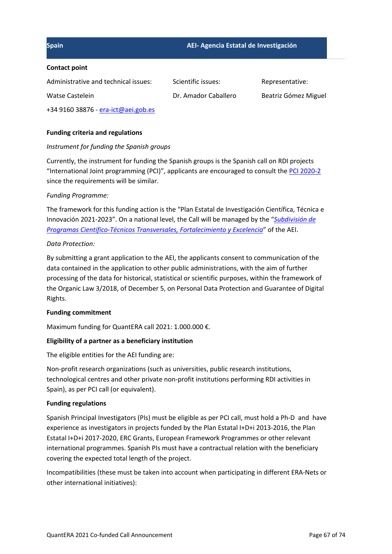| <b>Spain</b>                         | AEI- Agencia Estatal de Investigación |                      |
|--------------------------------------|---------------------------------------|----------------------|
| <b>Contact point</b>                 |                                       |                      |
| Administrative and technical issues: | Scientific issues:                    | Representative:      |
| Watse Castelein                      | Dr. Amador Caballero                  | Beatriz Gómez Miguel |
| +34 9160 38876 - era-ict@aei.gob.es  |                                       |                      |

## **Funding criteria and regulations**

## *Instrument for funding the Spanish groups*

Currently, the instrument for funding the Spanish groups is the Spanish call on RDI projects "International Joint programming (PCI)", applicants are encouraged to consult the PCI 2020-2 since the requirements will be similar.

## *Funding Programme:*

The framework for this funding action is the "Plan Estatal de Investigación Científica, Técnica e Innovación 2021-2023". On a national level, the Call will be managed by the "*Subdivisión de Programas Científico-Técnicos Transversales, Fortalecimiento y Excelencia*" of the AEI.

## *Data Protection:*

By submitting a grant application to the AEI, the applicants consent to communication of the data contained in the application to other public administrations, with the aim of further processing of the data for historical, statistical or scientific purposes, within the framework of the Organic Law 3/2018, of December 5, on Personal Data Protection and Guarantee of Digital Rights.

## **Funding commitment**

Maximum funding for QuantERA call 2021: 1.000.000 €.

# **Eligibility of a partner as a beneficiary institution**

The eligible entities for the AEI funding are:

Non-profit research organizations (such as universities, public research institutions, technological centres and other private non-profit institutions performing RDI activities in Spain), as per PCI call (or equivalent).

## **Funding regulations**

Spanish Principal Investigators (PIs) must be eligible as per PCI call, must hold a Ph-D and have experience as investigators in projects funded by the Plan Estatal I+D+i 2013-2016, the Plan Estatal I+D+i 2017-2020, ERC Grants, European Framework Programmes or other relevant international programmes. Spanish PIs must have a contractual relation with the beneficiary covering the expected total length of the project.

Incompatibilities (these must be taken into account when participating in different ERA-Nets or other international initiatives):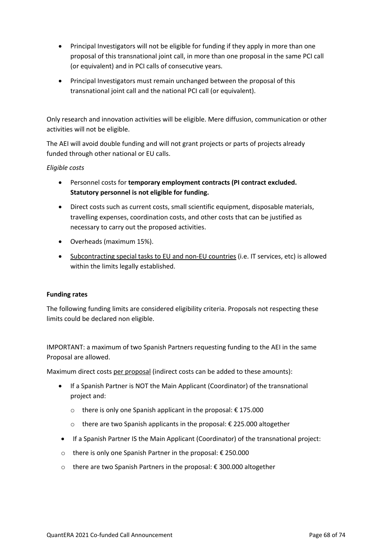- Principal Investigators will not be eligible for funding if they apply in more than one proposal of this transnational joint call, in more than one proposal in the same PCI call (or equivalent) and in PCI calls of consecutive years.
- Principal Investigators must remain unchanged between the proposal of this transnational joint call and the national PCI call (or equivalent).

Only research and innovation activities will be eligible. Mere diffusion, communication or other activities will not be eligible.

The AEI will avoid double funding and will not grant projects or parts of projects already funded through other national or EU calls.

## *Eligible costs*

- Personnel costs for **temporary employment contracts (PI contract excluded. Statutory personnel is not eligible for funding.**
- Direct costs such as current costs, small scientific equipment, disposable materials, travelling expenses, coordination costs, and other costs that can be justified as necessary to carry out the proposed activities.
- Overheads (maximum 15%).
- Subcontracting special tasks to EU and non-EU countries (i.e. IT services, etc) is allowed within the limits legally established.

## **Funding rates**

The following funding limits are considered eligibility criteria. Proposals not respecting these limits could be declared non eligible.

IMPORTANT: a maximum of two Spanish Partners requesting funding to the AEI in the same Proposal are allowed.

Maximum direct costs per proposal (indirect costs can be added to these amounts):

- If a Spanish Partner is NOT the Main Applicant (Coordinator) of the transnational project and:
	- o there is only one Spanish applicant in the proposal: € 175.000
	- o there are two Spanish applicants in the proposal: € 225.000 altogether
- If a Spanish Partner IS the Main Applicant (Coordinator) of the transnational project:
- o there is only one Spanish Partner in the proposal: € 250.000
- o there are two Spanish Partners in the proposal: € 300.000 altogether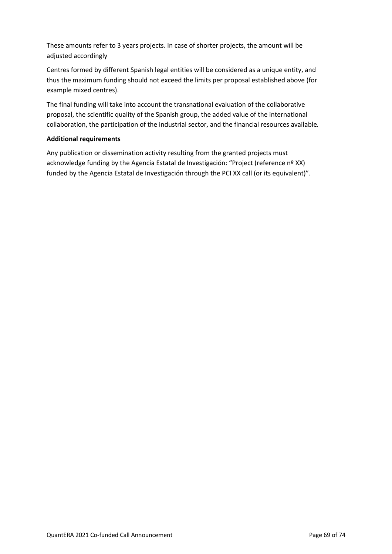These amounts refer to 3 years projects. In case of shorter projects, the amount will be adjusted accordingly

Centres formed by different Spanish legal entities will be considered as a unique entity, and thus the maximum funding should not exceed the limits per proposal established above (for example mixed centres).

The final funding will take into account the transnational evaluation of the collaborative proposal, the scientific quality of the Spanish group, the added value of the international collaboration, the participation of the industrial sector, and the financial resources available*.*

# **Additional requirements**

Any publication or dissemination activity resulting from the granted projects must acknowledge funding by the Agencia Estatal de Investigación: "Project (reference nº XX) funded by the Agencia Estatal de Investigación through the PCI XX call (or its equivalent)".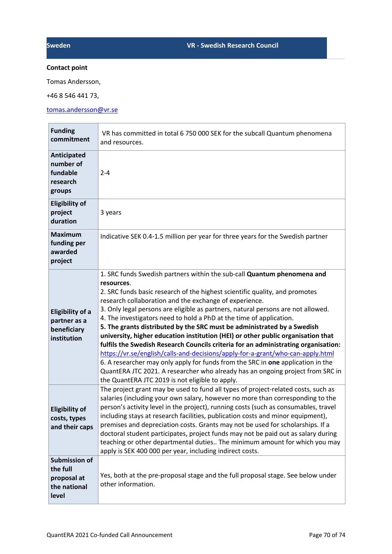Tomas Andersson,

+46 8 546 441 73,

# tomas.andersson@vr.se

| <b>Funding</b><br>commitment                                             | VR has committed in total 6 750 000 SEK for the subcall Quantum phenomena<br>and resources.                                                                                                                                                                                                                                                                                                                                                                                                                                                                                                                                                                                                                                                                                                                                                                                                                                                              |
|--------------------------------------------------------------------------|----------------------------------------------------------------------------------------------------------------------------------------------------------------------------------------------------------------------------------------------------------------------------------------------------------------------------------------------------------------------------------------------------------------------------------------------------------------------------------------------------------------------------------------------------------------------------------------------------------------------------------------------------------------------------------------------------------------------------------------------------------------------------------------------------------------------------------------------------------------------------------------------------------------------------------------------------------|
| <b>Anticipated</b><br>number of<br>fundable<br>research<br>groups        | $2 - 4$                                                                                                                                                                                                                                                                                                                                                                                                                                                                                                                                                                                                                                                                                                                                                                                                                                                                                                                                                  |
| <b>Eligibility of</b><br>project<br>duration                             | 3 years                                                                                                                                                                                                                                                                                                                                                                                                                                                                                                                                                                                                                                                                                                                                                                                                                                                                                                                                                  |
| <b>Maximum</b><br>funding per<br>awarded<br>project                      | Indicative SEK 0.4-1.5 million per year for three years for the Swedish partner                                                                                                                                                                                                                                                                                                                                                                                                                                                                                                                                                                                                                                                                                                                                                                                                                                                                          |
| <b>Eligibility of a</b><br>partner as a<br>beneficiary<br>institution    | 1. SRC funds Swedish partners within the sub-call Quantum phenomena and<br>resources.<br>2. SRC funds basic research of the highest scientific quality, and promotes<br>research collaboration and the exchange of experience.<br>3. Only legal persons are eligible as partners, natural persons are not allowed.<br>4. The investigators need to hold a PhD at the time of application.<br>5. The grants distributed by the SRC must be administrated by a Swedish<br>university, higher education institution (HEI) or other public organisation that<br>fulfils the Swedish Research Councils criteria for an administrating organisation:<br>https://vr.se/english/calls-and-decisions/apply-for-a-grant/who-can-apply.html<br>6. A researcher may only apply for funds from the SRC in one application in the<br>QuantERA JTC 2021. A researcher who already has an ongoing project from SRC in<br>the QuantERA JTC 2019 is not eligible to apply. |
| <b>Eligibility of</b><br>costs, types<br>and their caps                  | The project grant may be used to fund all types of project-related costs, such as<br>salaries (including your own salary, however no more than corresponding to the<br>person's activity level in the project), running costs (such as consumables, travel<br>including stays at research facilities, publication costs and minor equipment),<br>premises and depreciation costs. Grants may not be used for scholarships. If a<br>doctoral student participates, project funds may not be paid out as salary during<br>teaching or other departmental duties The minimum amount for which you may<br>apply is SEK 400 000 per year, including indirect costs.                                                                                                                                                                                                                                                                                           |
| <b>Submission of</b><br>the full<br>proposal at<br>the national<br>level | Yes, both at the pre-proposal stage and the full proposal stage. See below under<br>other information.                                                                                                                                                                                                                                                                                                                                                                                                                                                                                                                                                                                                                                                                                                                                                                                                                                                   |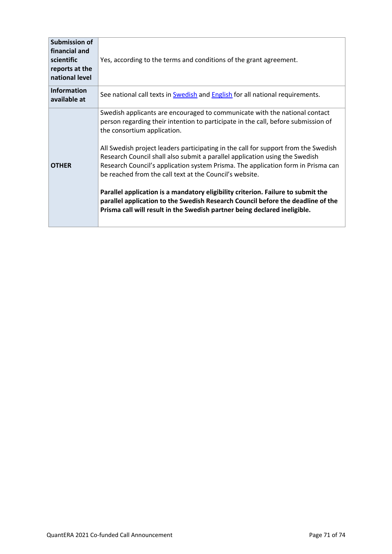| <b>Submission of</b><br>financial and<br>scientific<br>reports at the<br>national level | Yes, according to the terms and conditions of the grant agreement.                                                                                                                                                                                                                                                                                                                                                                                                                                                                                                                                                                                                                                                                                                     |
|-----------------------------------------------------------------------------------------|------------------------------------------------------------------------------------------------------------------------------------------------------------------------------------------------------------------------------------------------------------------------------------------------------------------------------------------------------------------------------------------------------------------------------------------------------------------------------------------------------------------------------------------------------------------------------------------------------------------------------------------------------------------------------------------------------------------------------------------------------------------------|
| <b>Information</b><br>available at                                                      | See national call texts in Swedish and English for all national requirements.                                                                                                                                                                                                                                                                                                                                                                                                                                                                                                                                                                                                                                                                                          |
| <b>OTHER</b>                                                                            | Swedish applicants are encouraged to communicate with the national contact<br>person regarding their intention to participate in the call, before submission of<br>the consortium application.<br>All Swedish project leaders participating in the call for support from the Swedish<br>Research Council shall also submit a parallel application using the Swedish<br>Research Council's application system Prisma. The application form in Prisma can<br>be reached from the call text at the Council's website.<br>Parallel application is a mandatory eligibility criterion. Failure to submit the<br>parallel application to the Swedish Research Council before the deadline of the<br>Prisma call will result in the Swedish partner being declared ineligible. |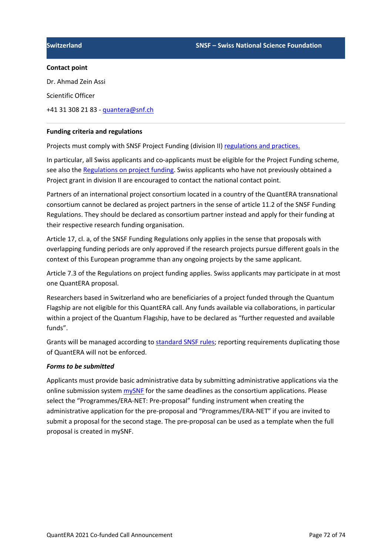Dr. Ahmad Zein Assi

Scientific Officer

+41 31 308 21 83 - quantera@snf.ch

## **Funding criteria and regulations**

Projects must comply with SNSF Project Funding (division II) regulations and practices.

In particular, all Swiss applicants and co-applicants must be eligible for the Project Funding scheme, see also the Regulations on project funding. Swiss applicants who have not previously obtained a Project grant in division II are encouraged to contact the national contact point.

Partners of an international project consortium located in a country of the QuantERA transnational consortium cannot be declared as project partners in the sense of article 11.2 of the SNSF Funding Regulations. They should be declared as consortium partner instead and apply for their funding at their respective research funding organisation.

Article 17, cl. a, of the SNSF Funding Regulations only applies in the sense that proposals with overlapping funding periods are only approved if the research projects pursue different goals in the context of this European programme than any ongoing projects by the same applicant.

Article 7.3 of the Regulations on project funding applies. Swiss applicants may participate in at most one QuantERA proposal.

Researchers based in Switzerland who are beneficiaries of a project funded through the Quantum Flagship are not eligible for this QuantERA call. Any funds available via collaborations, in particular within a project of the Quantum Flagship, have to be declared as "further requested and available funds".

Grants will be managed according to standard SNSF rules; reporting requirements duplicating those of QuantERA will not be enforced.

## *Forms to be submitted*

Applicants must provide basic administrative data by submitting administrative applications via the online submission system mySNF for the same deadlines as the consortium applications. Please select the "Programmes/ERA-NET: Pre-proposal" funding instrument when creating the administrative application for the pre-proposal and "Programmes/ERA-NET" if you are invited to submit a proposal for the second stage. The pre-proposal can be used as a template when the full proposal is created in mySNF.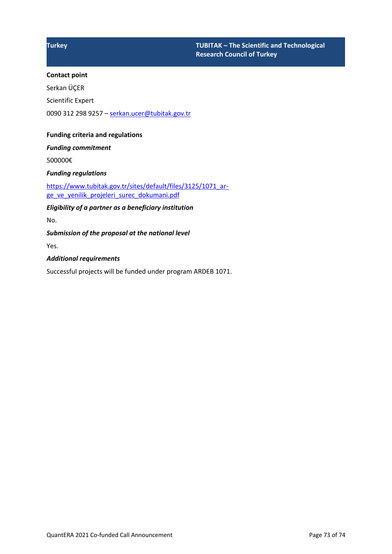#### **Contact point**

Serkan ÜÇER

Scientific Expert

0090 312 298 9257 - serkan.ucer@tubitak.gov.tr

# **Funding criteria and regulations**

*Funding commitment*

500000€

#### *Funding regulations*

https://www.tubitak.gov.tr/sites/default/files/3125/1071\_arge\_ve\_yenilik\_projeleri\_surec\_dokumani.pdf

*Eligibility of a partner as a beneficiary institution*

No.

*Submission of the proposal at the national level*

Yes.

### *Additional requirements*

Successful projects will be funded under program ARDEB 1071.